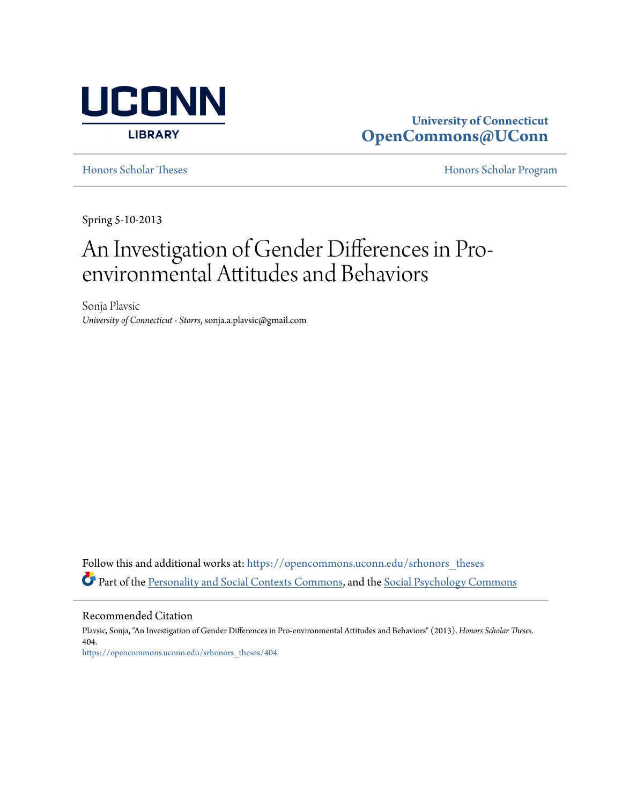

# **University of Connecticut [OpenCommons@UConn](https://opencommons.uconn.edu?utm_source=opencommons.uconn.edu%2Fsrhonors_theses%2F404&utm_medium=PDF&utm_campaign=PDFCoverPages)**

[Honors Scholar Theses](https://opencommons.uconn.edu/srhonors_theses?utm_source=opencommons.uconn.edu%2Fsrhonors_theses%2F404&utm_medium=PDF&utm_campaign=PDFCoverPages) [Honors Scholar Program](https://opencommons.uconn.edu/srhonors?utm_source=opencommons.uconn.edu%2Fsrhonors_theses%2F404&utm_medium=PDF&utm_campaign=PDFCoverPages)

Spring 5-10-2013

# An Investigation of Gender Differences in Proenvironmental Attitudes and Behaviors

Sonja Plavsic *University of Connecticut - Storrs*, sonja.a.plavsic@gmail.com

Follow this and additional works at: [https://opencommons.uconn.edu/srhonors\\_theses](https://opencommons.uconn.edu/srhonors_theses?utm_source=opencommons.uconn.edu%2Fsrhonors_theses%2F404&utm_medium=PDF&utm_campaign=PDFCoverPages) Part of the [Personality and Social Contexts Commons,](http://network.bepress.com/hgg/discipline/413?utm_source=opencommons.uconn.edu%2Fsrhonors_theses%2F404&utm_medium=PDF&utm_campaign=PDFCoverPages) and the [Social Psychology Commons](http://network.bepress.com/hgg/discipline/414?utm_source=opencommons.uconn.edu%2Fsrhonors_theses%2F404&utm_medium=PDF&utm_campaign=PDFCoverPages)

#### Recommended Citation

Plavsic, Sonja, "An Investigation of Gender Differences in Pro-environmental Attitudes and Behaviors" (2013). *Honors Scholar Theses*. 404. [https://opencommons.uconn.edu/srhonors\\_theses/404](https://opencommons.uconn.edu/srhonors_theses/404?utm_source=opencommons.uconn.edu%2Fsrhonors_theses%2F404&utm_medium=PDF&utm_campaign=PDFCoverPages)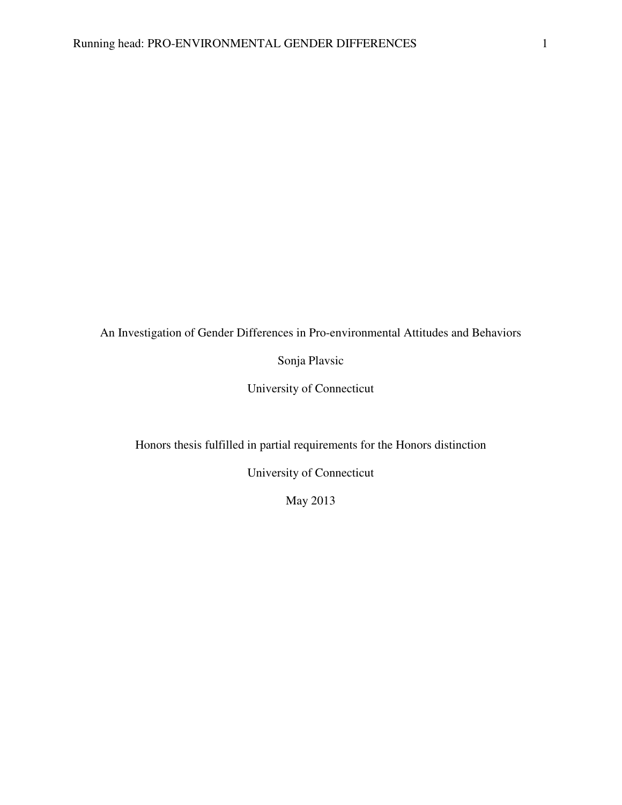An Investigation of Gender Differences in Pro-environmental Attitudes and Behaviors

Sonja Plavsic

University of Connecticut

Honors thesis fulfilled in partial requirements for the Honors distinction

University of Connecticut

May 2013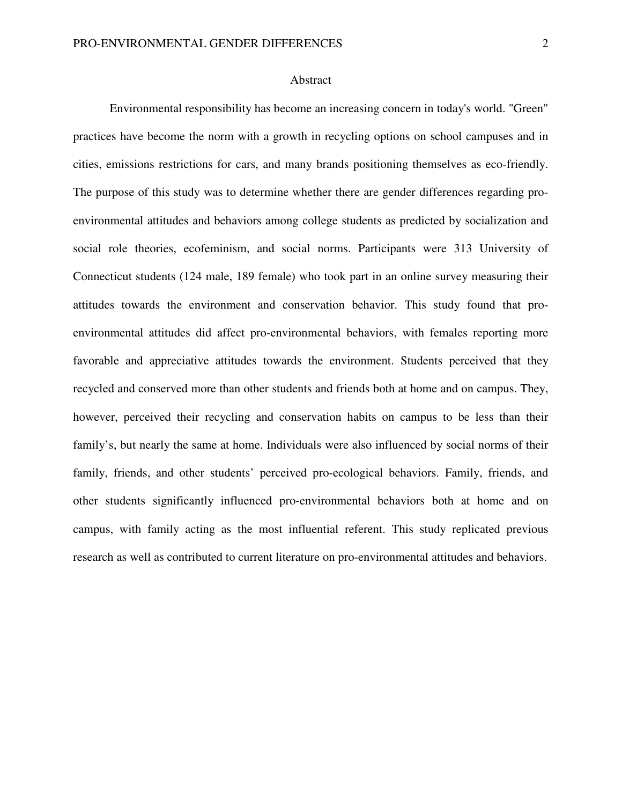#### Abstract

Environmental responsibility has become an increasing concern in today's world. "Green" practices have become the norm with a growth in recycling options on school campuses and in cities, emissions restrictions for cars, and many brands positioning themselves as eco-friendly. The purpose of this study was to determine whether there are gender differences regarding proenvironmental attitudes and behaviors among college students as predicted by socialization and social role theories, ecofeminism, and social norms. Participants were 313 University of Connecticut students (124 male, 189 female) who took part in an online survey measuring their attitudes towards the environment and conservation behavior. This study found that proenvironmental attitudes did affect pro-environmental behaviors, with females reporting more favorable and appreciative attitudes towards the environment. Students perceived that they recycled and conserved more than other students and friends both at home and on campus. They, however, perceived their recycling and conservation habits on campus to be less than their family's, but nearly the same at home. Individuals were also influenced by social norms of their family, friends, and other students' perceived pro-ecological behaviors. Family, friends, and other students significantly influenced pro-environmental behaviors both at home and on campus, with family acting as the most influential referent. This study replicated previous research as well as contributed to current literature on pro-environmental attitudes and behaviors.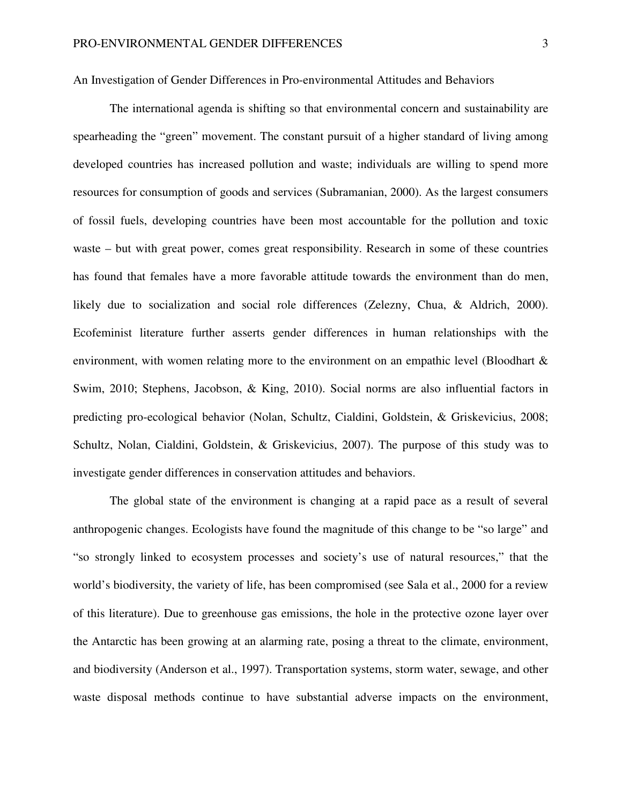An Investigation of Gender Differences in Pro-environmental Attitudes and Behaviors

The international agenda is shifting so that environmental concern and sustainability are spearheading the "green" movement. The constant pursuit of a higher standard of living among developed countries has increased pollution and waste; individuals are willing to spend more resources for consumption of goods and services (Subramanian, 2000). As the largest consumers of fossil fuels, developing countries have been most accountable for the pollution and toxic waste – but with great power, comes great responsibility. Research in some of these countries has found that females have a more favorable attitude towards the environment than do men, likely due to socialization and social role differences (Zelezny, Chua, & Aldrich, 2000). Ecofeminist literature further asserts gender differences in human relationships with the environment, with women relating more to the environment on an empathic level (Bloodhart & Swim, 2010; Stephens, Jacobson, & King, 2010). Social norms are also influential factors in predicting pro-ecological behavior (Nolan, Schultz, Cialdini, Goldstein, & Griskevicius, 2008; Schultz, Nolan, Cialdini, Goldstein, & Griskevicius, 2007). The purpose of this study was to investigate gender differences in conservation attitudes and behaviors.

The global state of the environment is changing at a rapid pace as a result of several anthropogenic changes. Ecologists have found the magnitude of this change to be "so large" and "so strongly linked to ecosystem processes and society's use of natural resources," that the world's biodiversity, the variety of life, has been compromised (see Sala et al., 2000 for a review of this literature). Due to greenhouse gas emissions, the hole in the protective ozone layer over the Antarctic has been growing at an alarming rate, posing a threat to the climate, environment, and biodiversity (Anderson et al., 1997). Transportation systems, storm water, sewage, and other waste disposal methods continue to have substantial adverse impacts on the environment,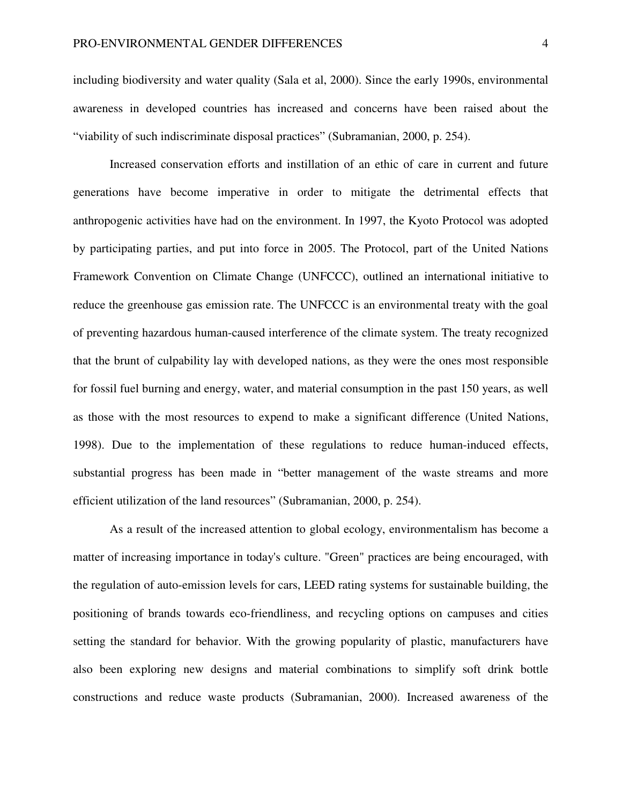including biodiversity and water quality (Sala et al, 2000). Since the early 1990s, environmental awareness in developed countries has increased and concerns have been raised about the "viability of such indiscriminate disposal practices" (Subramanian, 2000, p. 254).

Increased conservation efforts and instillation of an ethic of care in current and future generations have become imperative in order to mitigate the detrimental effects that anthropogenic activities have had on the environment. In 1997, the Kyoto Protocol was adopted by participating parties, and put into force in 2005. The Protocol, part of the United Nations Framework Convention on Climate Change (UNFCCC), outlined an international initiative to reduce the greenhouse gas emission rate. The UNFCCC is an environmental treaty with the goal of preventing hazardous human-caused interference of the climate system. The treaty recognized that the brunt of culpability lay with developed nations, as they were the ones most responsible for fossil fuel burning and energy, water, and material consumption in the past 150 years, as well as those with the most resources to expend to make a significant difference (United Nations, 1998). Due to the implementation of these regulations to reduce human-induced effects, substantial progress has been made in "better management of the waste streams and more efficient utilization of the land resources" (Subramanian, 2000, p. 254).

As a result of the increased attention to global ecology, environmentalism has become a matter of increasing importance in today's culture. "Green" practices are being encouraged, with the regulation of auto-emission levels for cars, LEED rating systems for sustainable building, the positioning of brands towards eco-friendliness, and recycling options on campuses and cities setting the standard for behavior. With the growing popularity of plastic, manufacturers have also been exploring new designs and material combinations to simplify soft drink bottle constructions and reduce waste products (Subramanian, 2000). Increased awareness of the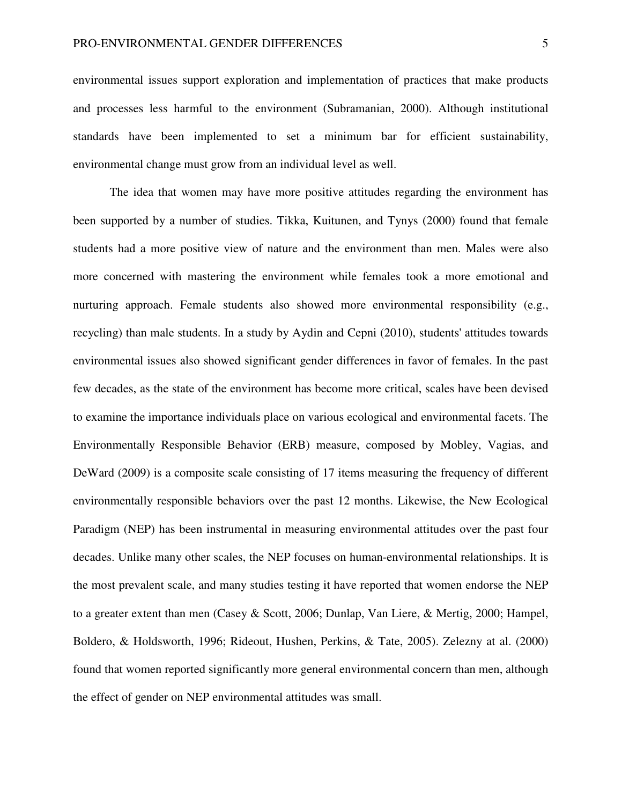environmental issues support exploration and implementation of practices that make products and processes less harmful to the environment (Subramanian, 2000). Although institutional standards have been implemented to set a minimum bar for efficient sustainability, environmental change must grow from an individual level as well.

The idea that women may have more positive attitudes regarding the environment has been supported by a number of studies. Tikka, Kuitunen, and Tynys (2000) found that female students had a more positive view of nature and the environment than men. Males were also more concerned with mastering the environment while females took a more emotional and nurturing approach. Female students also showed more environmental responsibility (e.g., recycling) than male students. In a study by Aydin and Cepni (2010), students' attitudes towards environmental issues also showed significant gender differences in favor of females. In the past few decades, as the state of the environment has become more critical, scales have been devised to examine the importance individuals place on various ecological and environmental facets. The Environmentally Responsible Behavior (ERB) measure, composed by Mobley, Vagias, and DeWard (2009) is a composite scale consisting of 17 items measuring the frequency of different environmentally responsible behaviors over the past 12 months. Likewise, the New Ecological Paradigm (NEP) has been instrumental in measuring environmental attitudes over the past four decades. Unlike many other scales, the NEP focuses on human-environmental relationships. It is the most prevalent scale, and many studies testing it have reported that women endorse the NEP to a greater extent than men (Casey & Scott, 2006; Dunlap, Van Liere, & Mertig, 2000; Hampel, Boldero, & Holdsworth, 1996; Rideout, Hushen, Perkins, & Tate, 2005). Zelezny at al. (2000) found that women reported significantly more general environmental concern than men, although the effect of gender on NEP environmental attitudes was small.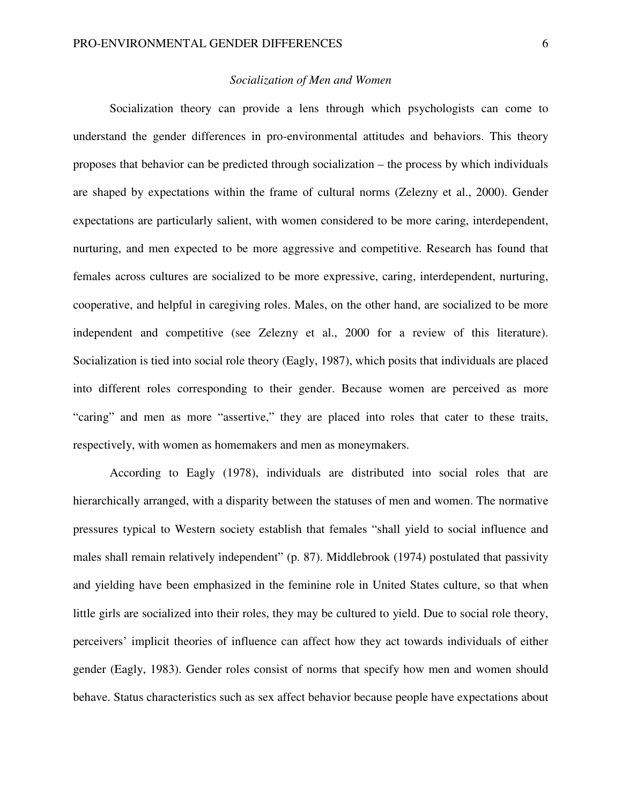#### *Socialization of Men and Women*

Socialization theory can provide a lens through which psychologists can come to understand the gender differences in pro-environmental attitudes and behaviors. This theory proposes that behavior can be predicted through socialization – the process by which individuals are shaped by expectations within the frame of cultural norms (Zelezny et al., 2000). Gender expectations are particularly salient, with women considered to be more caring, interdependent, nurturing, and men expected to be more aggressive and competitive. Research has found that females across cultures are socialized to be more expressive, caring, interdependent, nurturing, cooperative, and helpful in caregiving roles. Males, on the other hand, are socialized to be more independent and competitive (see Zelezny et al., 2000 for a review of this literature). Socialization is tied into social role theory (Eagly, 1987), which posits that individuals are placed into different roles corresponding to their gender. Because women are perceived as more "caring" and men as more "assertive," they are placed into roles that cater to these traits, respectively, with women as homemakers and men as moneymakers.

According to Eagly (1978), individuals are distributed into social roles that are hierarchically arranged, with a disparity between the statuses of men and women. The normative pressures typical to Western society establish that females "shall yield to social influence and males shall remain relatively independent" (p. 87). Middlebrook (1974) postulated that passivity and yielding have been emphasized in the feminine role in United States culture, so that when little girls are socialized into their roles, they may be cultured to yield. Due to social role theory, perceivers' implicit theories of influence can affect how they act towards individuals of either gender (Eagly, 1983). Gender roles consist of norms that specify how men and women should behave. Status characteristics such as sex affect behavior because people have expectations about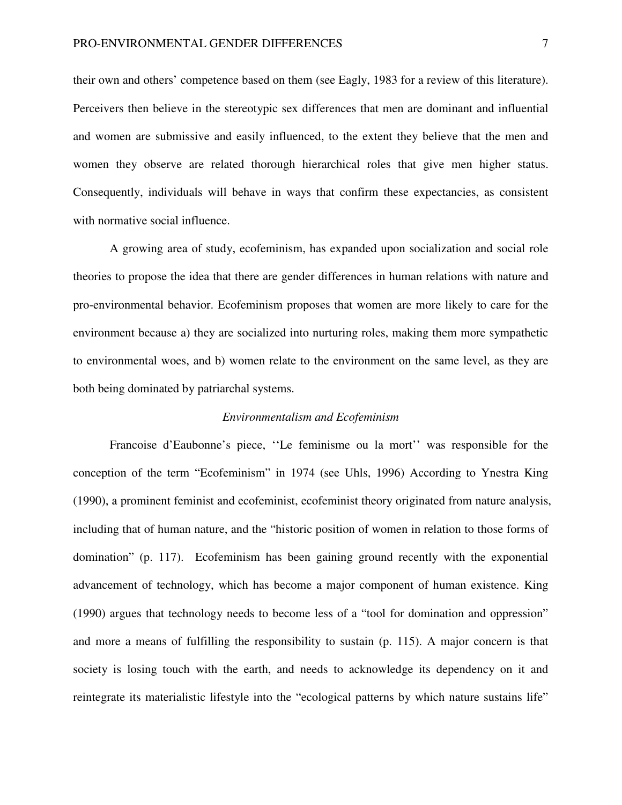their own and others' competence based on them (see Eagly, 1983 for a review of this literature). Perceivers then believe in the stereotypic sex differences that men are dominant and influential and women are submissive and easily influenced, to the extent they believe that the men and women they observe are related thorough hierarchical roles that give men higher status. Consequently, individuals will behave in ways that confirm these expectancies, as consistent with normative social influence.

A growing area of study, ecofeminism, has expanded upon socialization and social role theories to propose the idea that there are gender differences in human relations with nature and pro-environmental behavior. Ecofeminism proposes that women are more likely to care for the environment because a) they are socialized into nurturing roles, making them more sympathetic to environmental woes, and b) women relate to the environment on the same level, as they are both being dominated by patriarchal systems.

#### *Environmentalism and Ecofeminism*

Francoise d'Eaubonne's piece, ''Le feminisme ou la mort'' was responsible for the conception of the term "Ecofeminism" in 1974 (see Uhls, 1996) According to Ynestra King (1990), a prominent feminist and ecofeminist, ecofeminist theory originated from nature analysis, including that of human nature, and the "historic position of women in relation to those forms of domination" (p. 117). Ecofeminism has been gaining ground recently with the exponential advancement of technology, which has become a major component of human existence. King (1990) argues that technology needs to become less of a "tool for domination and oppression" and more a means of fulfilling the responsibility to sustain (p. 115). A major concern is that society is losing touch with the earth, and needs to acknowledge its dependency on it and reintegrate its materialistic lifestyle into the "ecological patterns by which nature sustains life"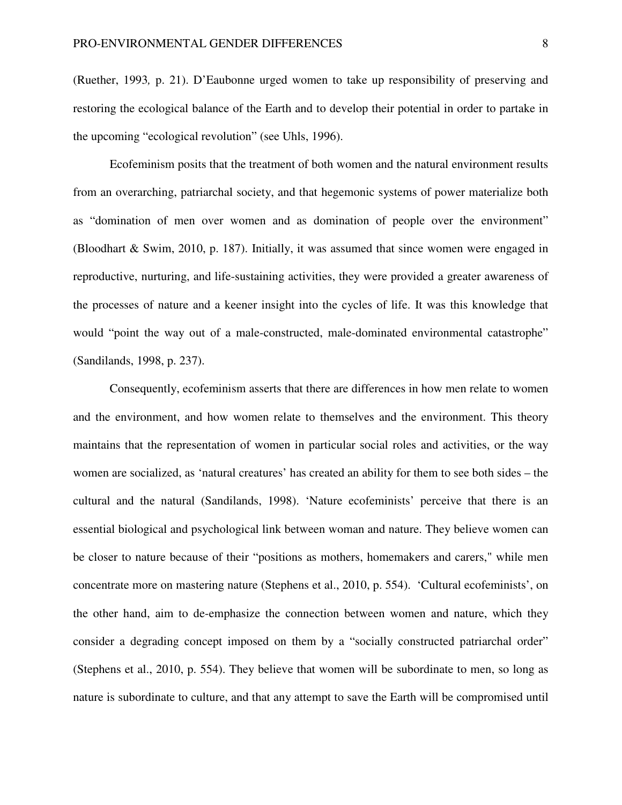(Ruether, 1993*,* p. 21). D'Eaubonne urged women to take up responsibility of preserving and restoring the ecological balance of the Earth and to develop their potential in order to partake in the upcoming "ecological revolution" (see Uhls, 1996).

Ecofeminism posits that the treatment of both women and the natural environment results from an overarching, patriarchal society, and that hegemonic systems of power materialize both as "domination of men over women and as domination of people over the environment" (Bloodhart & Swim, 2010, p. 187). Initially, it was assumed that since women were engaged in reproductive, nurturing, and life-sustaining activities, they were provided a greater awareness of the processes of nature and a keener insight into the cycles of life. It was this knowledge that would "point the way out of a male-constructed, male-dominated environmental catastrophe" (Sandilands, 1998, p. 237).

Consequently, ecofeminism asserts that there are differences in how men relate to women and the environment, and how women relate to themselves and the environment. This theory maintains that the representation of women in particular social roles and activities, or the way women are socialized, as 'natural creatures' has created an ability for them to see both sides – the cultural and the natural (Sandilands, 1998). 'Nature ecofeminists' perceive that there is an essential biological and psychological link between woman and nature. They believe women can be closer to nature because of their "positions as mothers, homemakers and carers," while men concentrate more on mastering nature (Stephens et al., 2010, p. 554). 'Cultural ecofeminists', on the other hand, aim to de-emphasize the connection between women and nature, which they consider a degrading concept imposed on them by a "socially constructed patriarchal order" (Stephens et al., 2010, p. 554). They believe that women will be subordinate to men, so long as nature is subordinate to culture, and that any attempt to save the Earth will be compromised until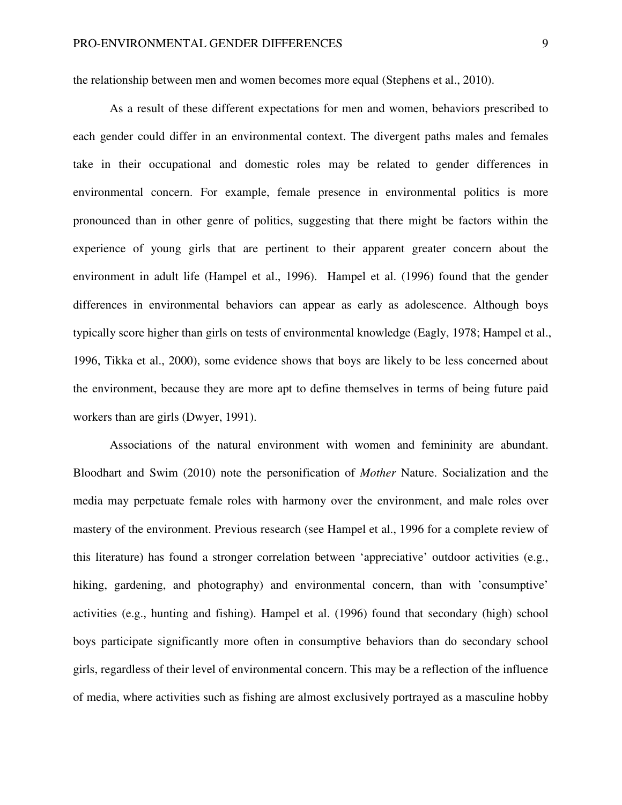the relationship between men and women becomes more equal (Stephens et al., 2010).

As a result of these different expectations for men and women, behaviors prescribed to each gender could differ in an environmental context. The divergent paths males and females take in their occupational and domestic roles may be related to gender differences in environmental concern. For example, female presence in environmental politics is more pronounced than in other genre of politics, suggesting that there might be factors within the experience of young girls that are pertinent to their apparent greater concern about the environment in adult life (Hampel et al., 1996). Hampel et al. (1996) found that the gender differences in environmental behaviors can appear as early as adolescence. Although boys typically score higher than girls on tests of environmental knowledge (Eagly, 1978; Hampel et al., 1996, Tikka et al., 2000), some evidence shows that boys are likely to be less concerned about the environment, because they are more apt to define themselves in terms of being future paid workers than are girls (Dwyer, 1991).

Associations of the natural environment with women and femininity are abundant. Bloodhart and Swim (2010) note the personification of *Mother* Nature. Socialization and the media may perpetuate female roles with harmony over the environment, and male roles over mastery of the environment. Previous research (see Hampel et al., 1996 for a complete review of this literature) has found a stronger correlation between 'appreciative' outdoor activities (e.g., hiking, gardening, and photography) and environmental concern, than with 'consumptive' activities (e.g., hunting and fishing). Hampel et al. (1996) found that secondary (high) school boys participate significantly more often in consumptive behaviors than do secondary school girls, regardless of their level of environmental concern. This may be a reflection of the influence of media, where activities such as fishing are almost exclusively portrayed as a masculine hobby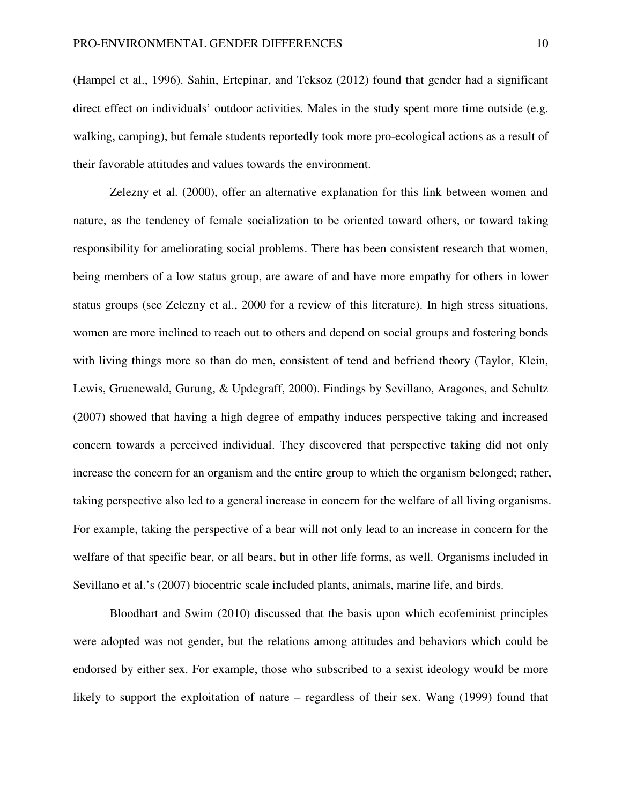(Hampel et al., 1996). Sahin, Ertepinar, and Teksoz (2012) found that gender had a significant direct effect on individuals' outdoor activities. Males in the study spent more time outside (e.g. walking, camping), but female students reportedly took more pro-ecological actions as a result of their favorable attitudes and values towards the environment.

Zelezny et al. (2000), offer an alternative explanation for this link between women and nature, as the tendency of female socialization to be oriented toward others, or toward taking responsibility for ameliorating social problems. There has been consistent research that women, being members of a low status group, are aware of and have more empathy for others in lower status groups (see Zelezny et al., 2000 for a review of this literature). In high stress situations, women are more inclined to reach out to others and depend on social groups and fostering bonds with living things more so than do men, consistent of tend and befriend theory (Taylor, Klein, Lewis, Gruenewald, Gurung, & Updegraff, 2000). Findings by Sevillano, Aragones, and Schultz (2007) showed that having a high degree of empathy induces perspective taking and increased concern towards a perceived individual. They discovered that perspective taking did not only increase the concern for an organism and the entire group to which the organism belonged; rather, taking perspective also led to a general increase in concern for the welfare of all living organisms. For example, taking the perspective of a bear will not only lead to an increase in concern for the welfare of that specific bear, or all bears, but in other life forms, as well. Organisms included in Sevillano et al.'s (2007) biocentric scale included plants, animals, marine life, and birds.

Bloodhart and Swim (2010) discussed that the basis upon which ecofeminist principles were adopted was not gender, but the relations among attitudes and behaviors which could be endorsed by either sex. For example, those who subscribed to a sexist ideology would be more likely to support the exploitation of nature – regardless of their sex. Wang (1999) found that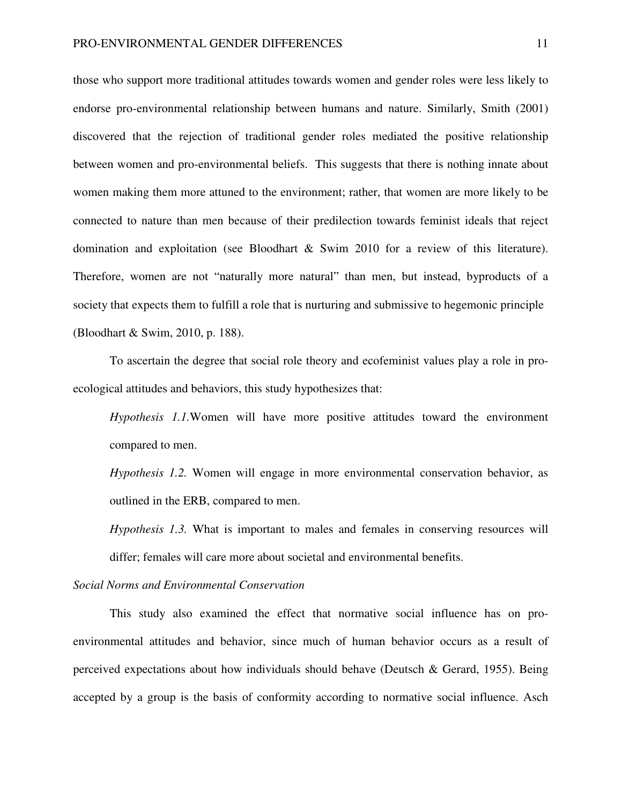those who support more traditional attitudes towards women and gender roles were less likely to endorse pro-environmental relationship between humans and nature. Similarly, Smith (2001) discovered that the rejection of traditional gender roles mediated the positive relationship between women and pro-environmental beliefs. This suggests that there is nothing innate about women making them more attuned to the environment; rather, that women are more likely to be connected to nature than men because of their predilection towards feminist ideals that reject domination and exploitation (see Bloodhart & Swim 2010 for a review of this literature). Therefore, women are not "naturally more natural" than men, but instead, byproducts of a society that expects them to fulfill a role that is nurturing and submissive to hegemonic principle (Bloodhart & Swim, 2010, p. 188).

To ascertain the degree that social role theory and ecofeminist values play a role in proecological attitudes and behaviors, this study hypothesizes that:

*Hypothesis 1.1.*Women will have more positive attitudes toward the environment compared to men.

*Hypothesis 1.2.* Women will engage in more environmental conservation behavior, as outlined in the ERB, compared to men.

*Hypothesis 1.3.* What is important to males and females in conserving resources will differ; females will care more about societal and environmental benefits.

#### *Social Norms and Environmental Conservation*

This study also examined the effect that normative social influence has on proenvironmental attitudes and behavior, since much of human behavior occurs as a result of perceived expectations about how individuals should behave (Deutsch & Gerard, 1955). Being accepted by a group is the basis of conformity according to normative social influence. Asch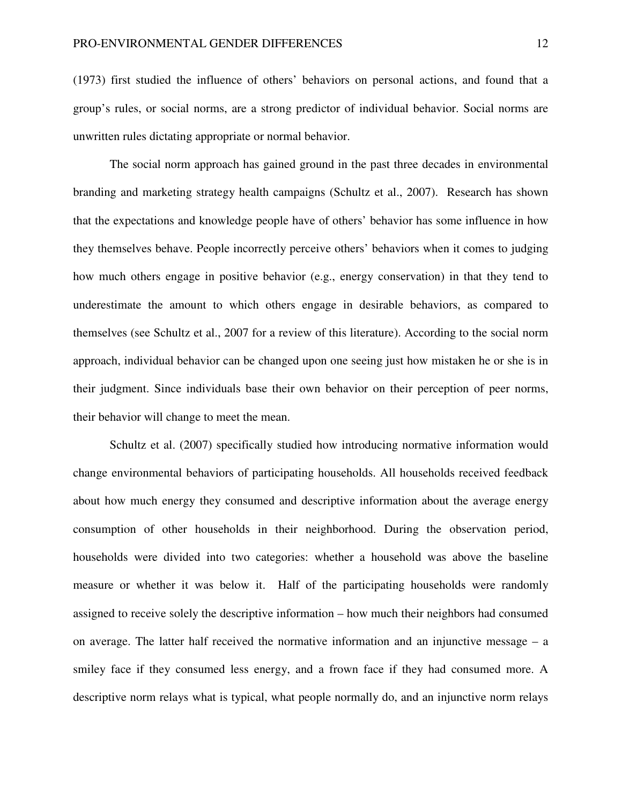(1973) first studied the influence of others' behaviors on personal actions, and found that a group's rules, or social norms, are a strong predictor of individual behavior. Social norms are unwritten rules dictating appropriate or normal behavior.

The social norm approach has gained ground in the past three decades in environmental branding and marketing strategy health campaigns (Schultz et al., 2007). Research has shown that the expectations and knowledge people have of others' behavior has some influence in how they themselves behave. People incorrectly perceive others' behaviors when it comes to judging how much others engage in positive behavior (e.g., energy conservation) in that they tend to underestimate the amount to which others engage in desirable behaviors, as compared to themselves (see Schultz et al., 2007 for a review of this literature). According to the social norm approach, individual behavior can be changed upon one seeing just how mistaken he or she is in their judgment. Since individuals base their own behavior on their perception of peer norms, their behavior will change to meet the mean.

Schultz et al. (2007) specifically studied how introducing normative information would change environmental behaviors of participating households. All households received feedback about how much energy they consumed and descriptive information about the average energy consumption of other households in their neighborhood. During the observation period, households were divided into two categories: whether a household was above the baseline measure or whether it was below it. Half of the participating households were randomly assigned to receive solely the descriptive information – how much their neighbors had consumed on average. The latter half received the normative information and an injunctive message – a smiley face if they consumed less energy, and a frown face if they had consumed more. A descriptive norm relays what is typical, what people normally do, and an injunctive norm relays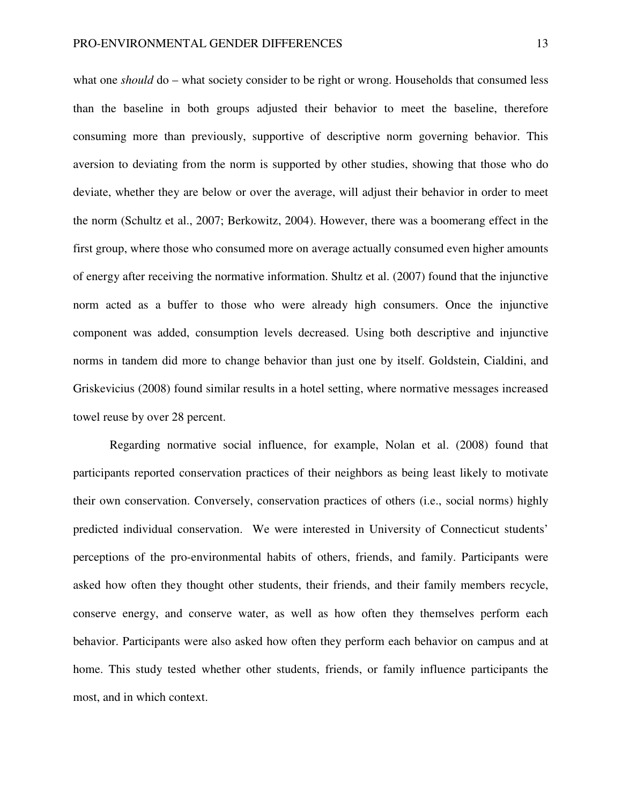what one *should* do – what society consider to be right or wrong. Households that consumed less than the baseline in both groups adjusted their behavior to meet the baseline, therefore consuming more than previously, supportive of descriptive norm governing behavior. This aversion to deviating from the norm is supported by other studies, showing that those who do deviate, whether they are below or over the average, will adjust their behavior in order to meet the norm (Schultz et al., 2007; Berkowitz, 2004). However, there was a boomerang effect in the first group, where those who consumed more on average actually consumed even higher amounts of energy after receiving the normative information. Shultz et al. (2007) found that the injunctive norm acted as a buffer to those who were already high consumers. Once the injunctive component was added, consumption levels decreased. Using both descriptive and injunctive norms in tandem did more to change behavior than just one by itself. Goldstein, Cialdini, and Griskevicius (2008) found similar results in a hotel setting, where normative messages increased towel reuse by over 28 percent.

Regarding normative social influence, for example, Nolan et al. (2008) found that participants reported conservation practices of their neighbors as being least likely to motivate their own conservation. Conversely, conservation practices of others (i.e., social norms) highly predicted individual conservation. We were interested in University of Connecticut students' perceptions of the pro-environmental habits of others, friends, and family. Participants were asked how often they thought other students, their friends, and their family members recycle, conserve energy, and conserve water, as well as how often they themselves perform each behavior. Participants were also asked how often they perform each behavior on campus and at home. This study tested whether other students, friends, or family influence participants the most, and in which context.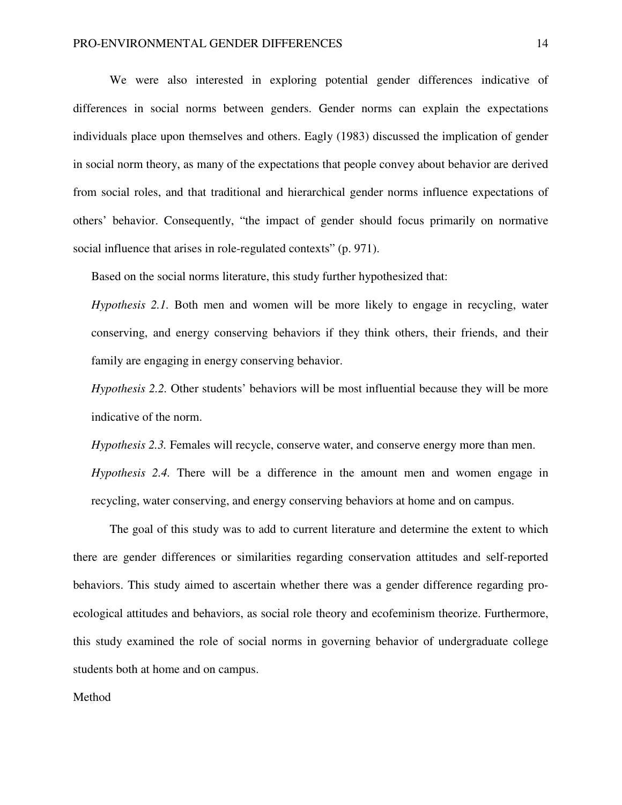We were also interested in exploring potential gender differences indicative of differences in social norms between genders. Gender norms can explain the expectations individuals place upon themselves and others. Eagly (1983) discussed the implication of gender in social norm theory, as many of the expectations that people convey about behavior are derived from social roles, and that traditional and hierarchical gender norms influence expectations of others' behavior. Consequently, "the impact of gender should focus primarily on normative social influence that arises in role-regulated contexts" (p. 971).

Based on the social norms literature, this study further hypothesized that:

*Hypothesis 2.1.* Both men and women will be more likely to engage in recycling, water conserving, and energy conserving behaviors if they think others, their friends, and their family are engaging in energy conserving behavior.

*Hypothesis 2.2.* Other students' behaviors will be most influential because they will be more indicative of the norm.

*Hypothesis 2.3.* Females will recycle, conserve water, and conserve energy more than men.

*Hypothesis 2.4.* There will be a difference in the amount men and women engage in recycling, water conserving, and energy conserving behaviors at home and on campus.

The goal of this study was to add to current literature and determine the extent to which there are gender differences or similarities regarding conservation attitudes and self-reported behaviors. This study aimed to ascertain whether there was a gender difference regarding proecological attitudes and behaviors, as social role theory and ecofeminism theorize. Furthermore, this study examined the role of social norms in governing behavior of undergraduate college students both at home and on campus.

Method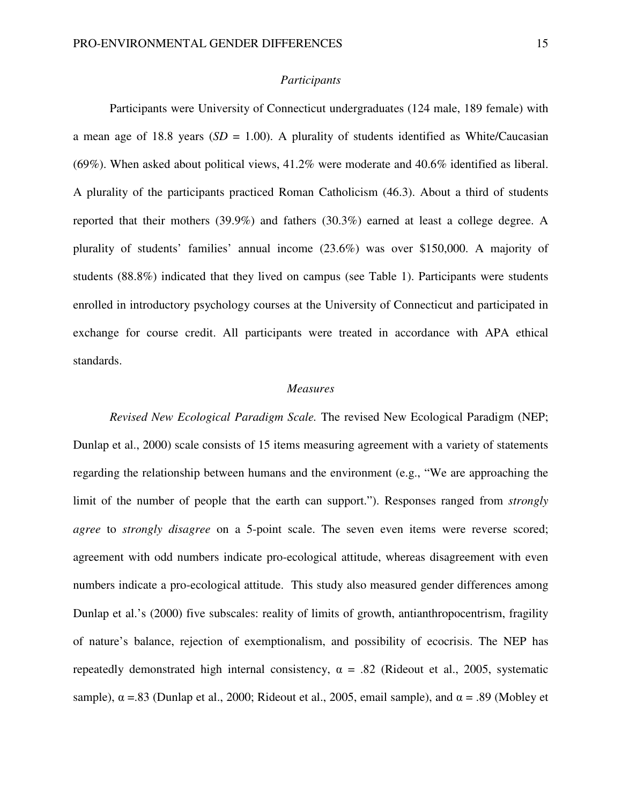#### *Participants*

Participants were University of Connecticut undergraduates (124 male, 189 female) with a mean age of 18.8 years  $(SD = 1.00)$ . A plurality of students identified as White/Caucasian (69%). When asked about political views, 41.2% were moderate and 40.6% identified as liberal. A plurality of the participants practiced Roman Catholicism (46.3). About a third of students reported that their mothers (39.9%) and fathers (30.3%) earned at least a college degree. A plurality of students' families' annual income (23.6%) was over \$150,000. A majority of students (88.8%) indicated that they lived on campus (see Table 1). Participants were students enrolled in introductory psychology courses at the University of Connecticut and participated in exchange for course credit. All participants were treated in accordance with APA ethical standards.

#### *Measures*

*Revised New Ecological Paradigm Scale.* The revised New Ecological Paradigm (NEP; Dunlap et al., 2000) scale consists of 15 items measuring agreement with a variety of statements regarding the relationship between humans and the environment (e.g., "We are approaching the limit of the number of people that the earth can support."). Responses ranged from *strongly agree* to *strongly disagree* on a 5-point scale. The seven even items were reverse scored; agreement with odd numbers indicate pro-ecological attitude, whereas disagreement with even numbers indicate a pro-ecological attitude. This study also measured gender differences among Dunlap et al.'s (2000) five subscales: reality of limits of growth, antianthropocentrism, fragility of nature's balance, rejection of exemptionalism, and possibility of ecocrisis. The NEP has repeatedly demonstrated high internal consistency,  $\alpha = .82$  (Rideout et al., 2005, systematic sample),  $\alpha$  =.83 (Dunlap et al., 2000; Rideout et al., 2005, email sample), and  $\alpha$  = .89 (Mobley et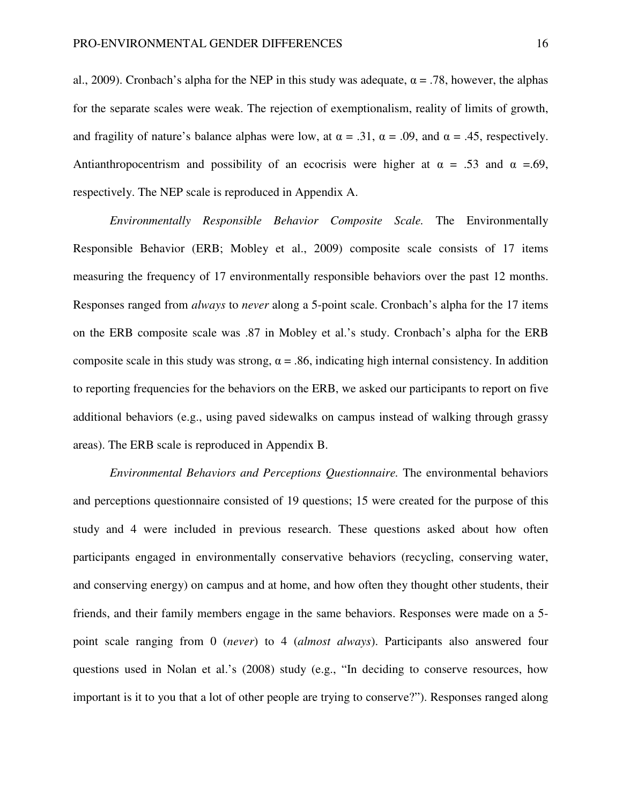al., 2009). Cronbach's alpha for the NEP in this study was adequate,  $\alpha = .78$ , however, the alphas for the separate scales were weak. The rejection of exemptionalism, reality of limits of growth, and fragility of nature's balance alphas were low, at  $\alpha = .31$ ,  $\alpha = .09$ , and  $\alpha = .45$ , respectively. Antianthropocentrism and possibility of an ecocrisis were higher at  $\alpha = .53$  and  $\alpha = .69$ , respectively. The NEP scale is reproduced in Appendix A.

*Environmentally Responsible Behavior Composite Scale.* The Environmentally Responsible Behavior (ERB; Mobley et al., 2009) composite scale consists of 17 items measuring the frequency of 17 environmentally responsible behaviors over the past 12 months. Responses ranged from *always* to *never* along a 5-point scale. Cronbach's alpha for the 17 items on the ERB composite scale was .87 in Mobley et al.'s study. Cronbach's alpha for the ERB composite scale in this study was strong,  $\alpha = .86$ , indicating high internal consistency. In addition to reporting frequencies for the behaviors on the ERB, we asked our participants to report on five additional behaviors (e.g., using paved sidewalks on campus instead of walking through grassy areas). The ERB scale is reproduced in Appendix B.

*Environmental Behaviors and Perceptions Questionnaire.* The environmental behaviors and perceptions questionnaire consisted of 19 questions; 15 were created for the purpose of this study and 4 were included in previous research. These questions asked about how often participants engaged in environmentally conservative behaviors (recycling, conserving water, and conserving energy) on campus and at home, and how often they thought other students, their friends, and their family members engage in the same behaviors. Responses were made on a 5 point scale ranging from 0 (*never*) to 4 (*almost always*). Participants also answered four questions used in Nolan et al.'s (2008) study (e.g., "In deciding to conserve resources, how important is it to you that a lot of other people are trying to conserve?"). Responses ranged along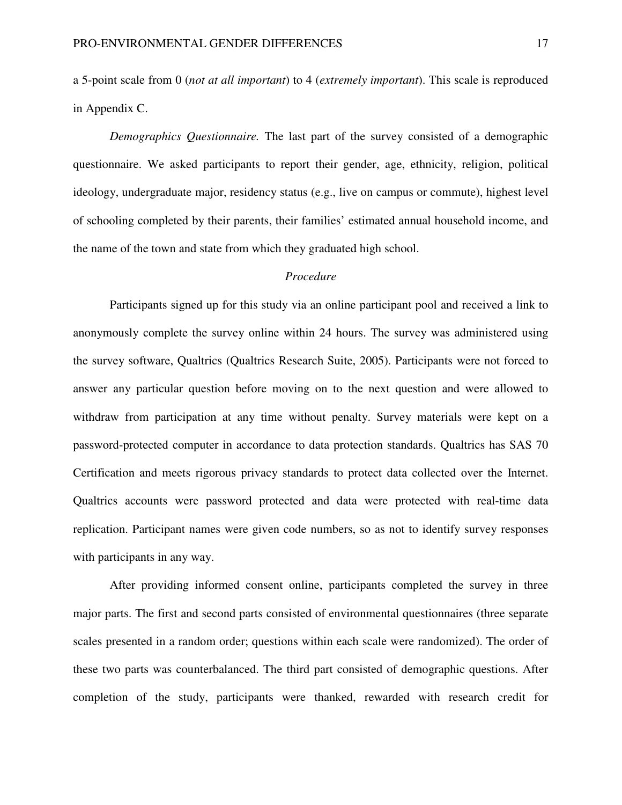a 5-point scale from 0 (*not at all important*) to 4 (*extremely important*). This scale is reproduced in Appendix C.

*Demographics Questionnaire.* The last part of the survey consisted of a demographic questionnaire. We asked participants to report their gender, age, ethnicity, religion, political ideology, undergraduate major, residency status (e.g., live on campus or commute), highest level of schooling completed by their parents, their families' estimated annual household income, and the name of the town and state from which they graduated high school.

#### *Procedure*

Participants signed up for this study via an online participant pool and received a link to anonymously complete the survey online within 24 hours. The survey was administered using the survey software, Qualtrics (Qualtrics Research Suite, 2005). Participants were not forced to answer any particular question before moving on to the next question and were allowed to withdraw from participation at any time without penalty. Survey materials were kept on a password-protected computer in accordance to data protection standards. Qualtrics has SAS 70 Certification and meets rigorous privacy standards to protect data collected over the Internet. Qualtrics accounts were password protected and data were protected with real-time data replication. Participant names were given code numbers, so as not to identify survey responses with participants in any way.

After providing informed consent online, participants completed the survey in three major parts. The first and second parts consisted of environmental questionnaires (three separate scales presented in a random order; questions within each scale were randomized). The order of these two parts was counterbalanced. The third part consisted of demographic questions. After completion of the study, participants were thanked, rewarded with research credit for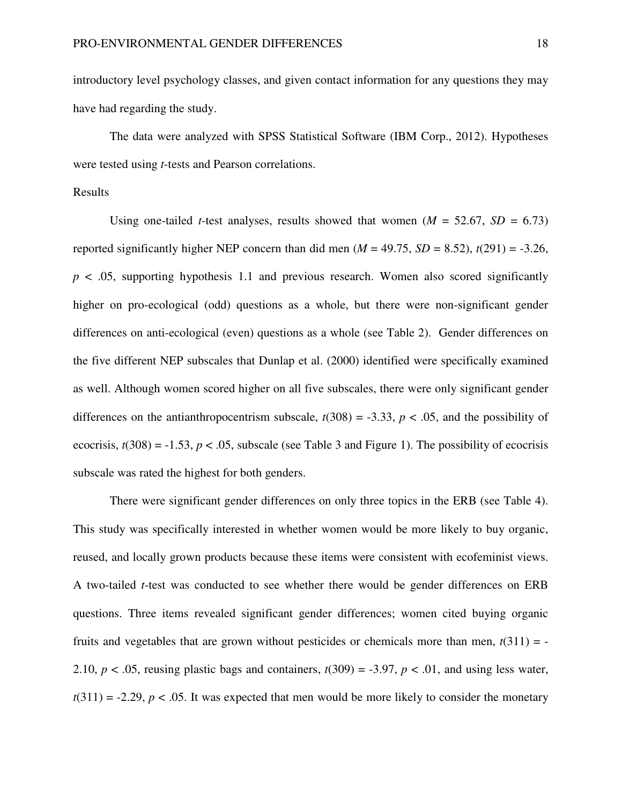introductory level psychology classes, and given contact information for any questions they may have had regarding the study.

The data were analyzed with SPSS Statistical Software (IBM Corp., 2012). Hypotheses were tested using *t*-tests and Pearson correlations.

#### Results

Using one-tailed *t*-test analyses, results showed that women  $(M = 52.67, SD = 6.73)$ reported significantly higher NEP concern than did men  $(M = 49.75, SD = 8.52)$ ,  $t(291) = -3.26$ ,  $p \leq 0.05$ , supporting hypothesis 1.1 and previous research. Women also scored significantly higher on pro-ecological (odd) questions as a whole, but there were non-significant gender differences on anti-ecological (even) questions as a whole (see Table 2). Gender differences on the five different NEP subscales that Dunlap et al. (2000) identified were specifically examined as well. Although women scored higher on all five subscales, there were only significant gender differences on the antianthropocentrism subscale,  $t(308) = -3.33$ ,  $p < .05$ , and the possibility of ecocrisis,  $t(308) = -1.53$ ,  $p < .05$ , subscale (see Table 3 and Figure 1). The possibility of ecocrisis subscale was rated the highest for both genders.

There were significant gender differences on only three topics in the ERB (see Table 4). This study was specifically interested in whether women would be more likely to buy organic, reused, and locally grown products because these items were consistent with ecofeminist views. A two-tailed *t*-test was conducted to see whether there would be gender differences on ERB questions. Three items revealed significant gender differences; women cited buying organic fruits and vegetables that are grown without pesticides or chemicals more than men,  $t(311) = -t$ 2.10,  $p < .05$ , reusing plastic bags and containers,  $t(309) = -3.97$ ,  $p < .01$ , and using less water,  $t(311) = -2.29$ ,  $p < .05$ . It was expected that men would be more likely to consider the monetary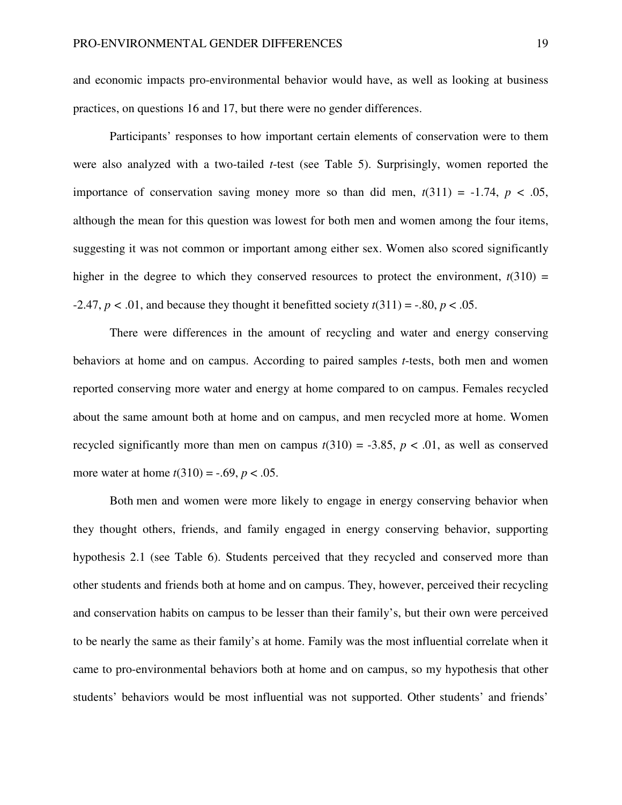and economic impacts pro-environmental behavior would have, as well as looking at business practices, on questions 16 and 17, but there were no gender differences.

Participants' responses to how important certain elements of conservation were to them were also analyzed with a two-tailed *t*-test (see Table 5). Surprisingly, women reported the importance of conservation saving money more so than did men,  $t(311) = -1.74$ ,  $p < .05$ , although the mean for this question was lowest for both men and women among the four items, suggesting it was not common or important among either sex. Women also scored significantly higher in the degree to which they conserved resources to protect the environment,  $t(310)$  =  $-2.47, p < .01$ , and because they thought it benefitted society  $t(311) = -.80, p < .05$ .

There were differences in the amount of recycling and water and energy conserving behaviors at home and on campus. According to paired samples *t*-tests, both men and women reported conserving more water and energy at home compared to on campus. Females recycled about the same amount both at home and on campus, and men recycled more at home. Women recycled significantly more than men on campus  $t(310) = -3.85$ ,  $p < .01$ , as well as conserved more water at home  $t(310) = -.69, p < .05$ .

Both men and women were more likely to engage in energy conserving behavior when they thought others, friends, and family engaged in energy conserving behavior, supporting hypothesis 2.1 (see Table 6). Students perceived that they recycled and conserved more than other students and friends both at home and on campus. They, however, perceived their recycling and conservation habits on campus to be lesser than their family's, but their own were perceived to be nearly the same as their family's at home. Family was the most influential correlate when it came to pro-environmental behaviors both at home and on campus, so my hypothesis that other students' behaviors would be most influential was not supported. Other students' and friends'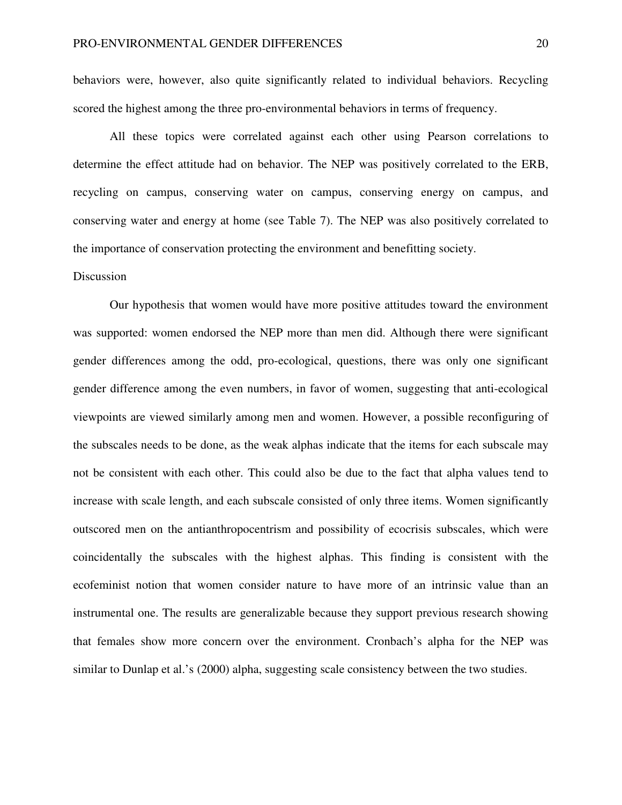behaviors were, however, also quite significantly related to individual behaviors. Recycling scored the highest among the three pro-environmental behaviors in terms of frequency.

All these topics were correlated against each other using Pearson correlations to determine the effect attitude had on behavior. The NEP was positively correlated to the ERB, recycling on campus, conserving water on campus, conserving energy on campus, and conserving water and energy at home (see Table 7). The NEP was also positively correlated to the importance of conservation protecting the environment and benefitting society.

#### Discussion

Our hypothesis that women would have more positive attitudes toward the environment was supported: women endorsed the NEP more than men did. Although there were significant gender differences among the odd, pro-ecological, questions, there was only one significant gender difference among the even numbers, in favor of women, suggesting that anti-ecological viewpoints are viewed similarly among men and women. However, a possible reconfiguring of the subscales needs to be done, as the weak alphas indicate that the items for each subscale may not be consistent with each other. This could also be due to the fact that alpha values tend to increase with scale length, and each subscale consisted of only three items. Women significantly outscored men on the antianthropocentrism and possibility of ecocrisis subscales, which were coincidentally the subscales with the highest alphas. This finding is consistent with the ecofeminist notion that women consider nature to have more of an intrinsic value than an instrumental one. The results are generalizable because they support previous research showing that females show more concern over the environment. Cronbach's alpha for the NEP was similar to Dunlap et al.'s (2000) alpha, suggesting scale consistency between the two studies.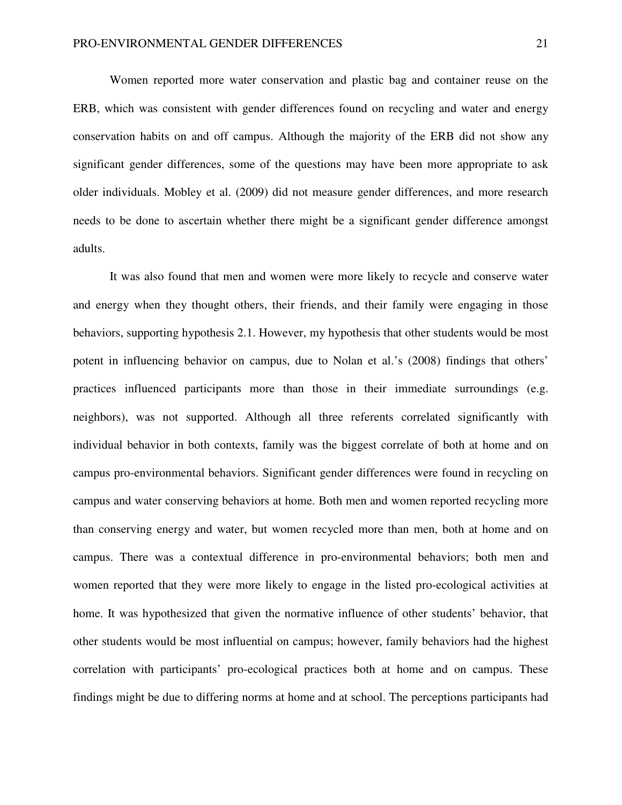Women reported more water conservation and plastic bag and container reuse on the ERB, which was consistent with gender differences found on recycling and water and energy conservation habits on and off campus. Although the majority of the ERB did not show any significant gender differences, some of the questions may have been more appropriate to ask older individuals. Mobley et al. (2009) did not measure gender differences, and more research needs to be done to ascertain whether there might be a significant gender difference amongst adults.

It was also found that men and women were more likely to recycle and conserve water and energy when they thought others, their friends, and their family were engaging in those behaviors, supporting hypothesis 2.1. However, my hypothesis that other students would be most potent in influencing behavior on campus, due to Nolan et al.'s (2008) findings that others' practices influenced participants more than those in their immediate surroundings (e.g. neighbors), was not supported. Although all three referents correlated significantly with individual behavior in both contexts, family was the biggest correlate of both at home and on campus pro-environmental behaviors. Significant gender differences were found in recycling on campus and water conserving behaviors at home. Both men and women reported recycling more than conserving energy and water, but women recycled more than men, both at home and on campus. There was a contextual difference in pro-environmental behaviors; both men and women reported that they were more likely to engage in the listed pro-ecological activities at home. It was hypothesized that given the normative influence of other students' behavior, that other students would be most influential on campus; however, family behaviors had the highest correlation with participants' pro-ecological practices both at home and on campus. These findings might be due to differing norms at home and at school. The perceptions participants had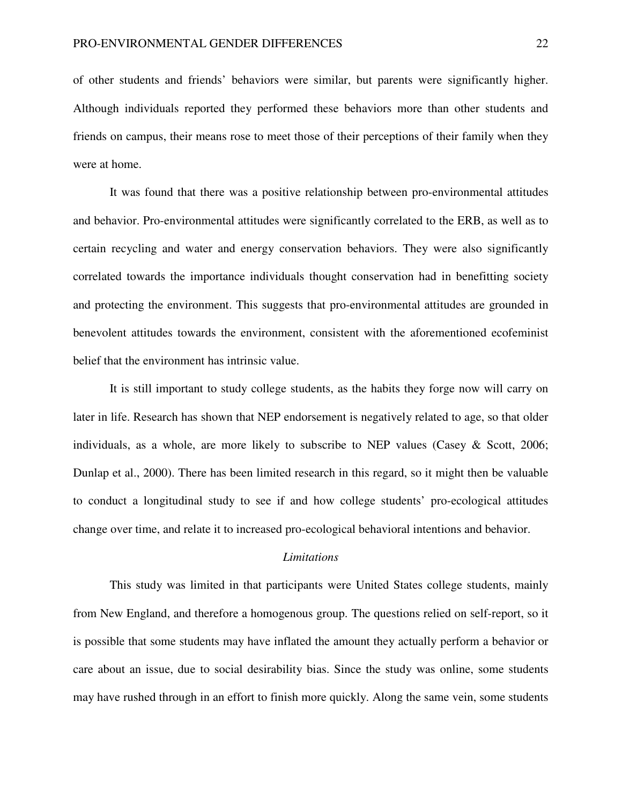of other students and friends' behaviors were similar, but parents were significantly higher. Although individuals reported they performed these behaviors more than other students and friends on campus, their means rose to meet those of their perceptions of their family when they were at home.

It was found that there was a positive relationship between pro-environmental attitudes and behavior. Pro-environmental attitudes were significantly correlated to the ERB, as well as to certain recycling and water and energy conservation behaviors. They were also significantly correlated towards the importance individuals thought conservation had in benefitting society and protecting the environment. This suggests that pro-environmental attitudes are grounded in benevolent attitudes towards the environment, consistent with the aforementioned ecofeminist belief that the environment has intrinsic value.

It is still important to study college students, as the habits they forge now will carry on later in life. Research has shown that NEP endorsement is negatively related to age, so that older individuals, as a whole, are more likely to subscribe to NEP values (Casey  $\&$  Scott, 2006; Dunlap et al., 2000). There has been limited research in this regard, so it might then be valuable to conduct a longitudinal study to see if and how college students' pro-ecological attitudes change over time, and relate it to increased pro-ecological behavioral intentions and behavior.

#### *Limitations*

This study was limited in that participants were United States college students, mainly from New England, and therefore a homogenous group. The questions relied on self-report, so it is possible that some students may have inflated the amount they actually perform a behavior or care about an issue, due to social desirability bias. Since the study was online, some students may have rushed through in an effort to finish more quickly. Along the same vein, some students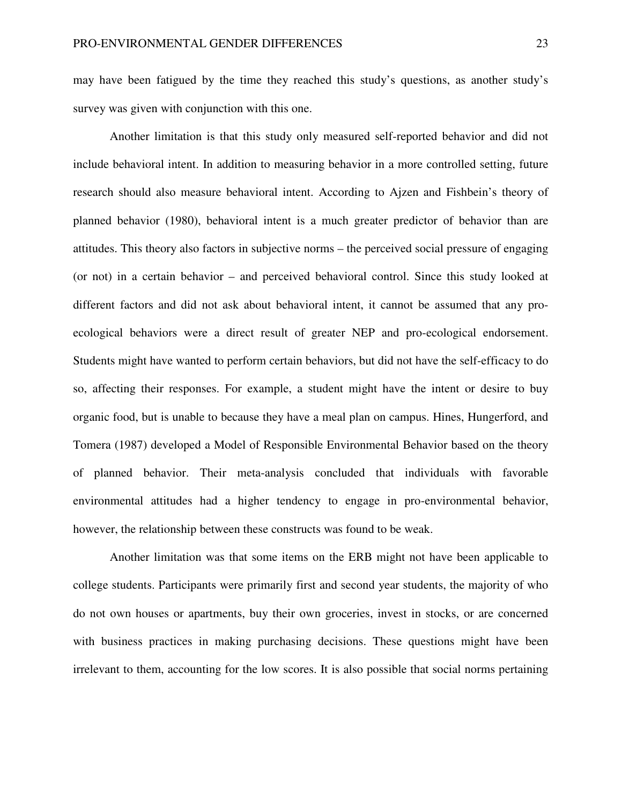may have been fatigued by the time they reached this study's questions, as another study's survey was given with conjunction with this one.

Another limitation is that this study only measured self-reported behavior and did not include behavioral intent. In addition to measuring behavior in a more controlled setting, future research should also measure behavioral intent. According to Ajzen and Fishbein's theory of planned behavior (1980), behavioral intent is a much greater predictor of behavior than are attitudes. This theory also factors in subjective norms – the perceived social pressure of engaging (or not) in a certain behavior – and perceived behavioral control. Since this study looked at different factors and did not ask about behavioral intent, it cannot be assumed that any proecological behaviors were a direct result of greater NEP and pro-ecological endorsement. Students might have wanted to perform certain behaviors, but did not have the self-efficacy to do so, affecting their responses. For example, a student might have the intent or desire to buy organic food, but is unable to because they have a meal plan on campus. Hines, Hungerford, and Tomera (1987) developed a Model of Responsible Environmental Behavior based on the theory of planned behavior. Their meta-analysis concluded that individuals with favorable environmental attitudes had a higher tendency to engage in pro-environmental behavior, however, the relationship between these constructs was found to be weak.

Another limitation was that some items on the ERB might not have been applicable to college students. Participants were primarily first and second year students, the majority of who do not own houses or apartments, buy their own groceries, invest in stocks, or are concerned with business practices in making purchasing decisions. These questions might have been irrelevant to them, accounting for the low scores. It is also possible that social norms pertaining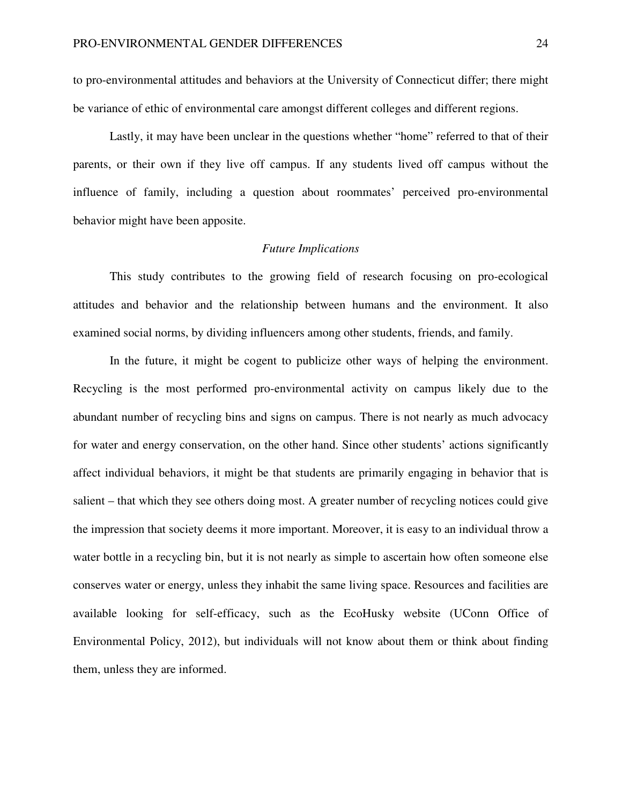to pro-environmental attitudes and behaviors at the University of Connecticut differ; there might be variance of ethic of environmental care amongst different colleges and different regions.

Lastly, it may have been unclear in the questions whether "home" referred to that of their parents, or their own if they live off campus. If any students lived off campus without the influence of family, including a question about roommates' perceived pro-environmental behavior might have been apposite.

#### *Future Implications*

This study contributes to the growing field of research focusing on pro-ecological attitudes and behavior and the relationship between humans and the environment. It also examined social norms, by dividing influencers among other students, friends, and family.

In the future, it might be cogent to publicize other ways of helping the environment. Recycling is the most performed pro-environmental activity on campus likely due to the abundant number of recycling bins and signs on campus. There is not nearly as much advocacy for water and energy conservation, on the other hand. Since other students' actions significantly affect individual behaviors, it might be that students are primarily engaging in behavior that is salient – that which they see others doing most. A greater number of recycling notices could give the impression that society deems it more important. Moreover, it is easy to an individual throw a water bottle in a recycling bin, but it is not nearly as simple to ascertain how often someone else conserves water or energy, unless they inhabit the same living space. Resources and facilities are available looking for self-efficacy, such as the EcoHusky website (UConn Office of Environmental Policy, 2012), but individuals will not know about them or think about finding them, unless they are informed.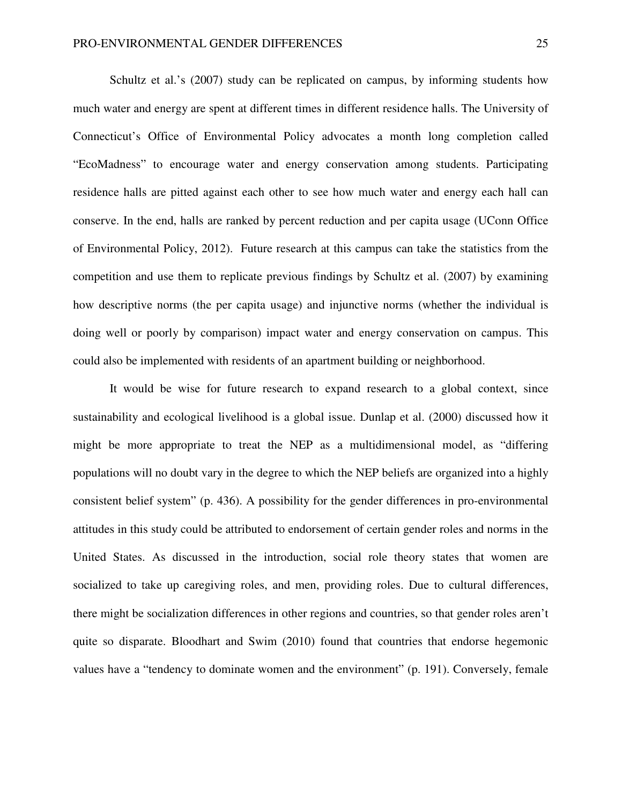Schultz et al.'s (2007) study can be replicated on campus, by informing students how much water and energy are spent at different times in different residence halls. The University of Connecticut's Office of Environmental Policy advocates a month long completion called "EcoMadness" to encourage water and energy conservation among students. Participating residence halls are pitted against each other to see how much water and energy each hall can conserve. In the end, halls are ranked by percent reduction and per capita usage (UConn Office of Environmental Policy, 2012). Future research at this campus can take the statistics from the competition and use them to replicate previous findings by Schultz et al. (2007) by examining how descriptive norms (the per capita usage) and injunctive norms (whether the individual is doing well or poorly by comparison) impact water and energy conservation on campus. This could also be implemented with residents of an apartment building or neighborhood.

It would be wise for future research to expand research to a global context, since sustainability and ecological livelihood is a global issue. Dunlap et al. (2000) discussed how it might be more appropriate to treat the NEP as a multidimensional model, as "differing populations will no doubt vary in the degree to which the NEP beliefs are organized into a highly consistent belief system" (p. 436). A possibility for the gender differences in pro-environmental attitudes in this study could be attributed to endorsement of certain gender roles and norms in the United States. As discussed in the introduction, social role theory states that women are socialized to take up caregiving roles, and men, providing roles. Due to cultural differences, there might be socialization differences in other regions and countries, so that gender roles aren't quite so disparate. Bloodhart and Swim (2010) found that countries that endorse hegemonic values have a "tendency to dominate women and the environment" (p. 191). Conversely, female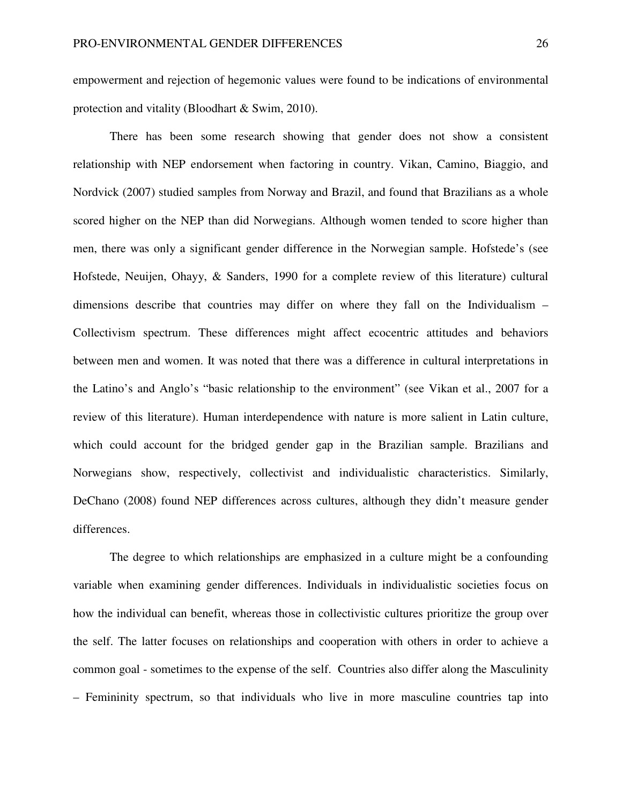empowerment and rejection of hegemonic values were found to be indications of environmental protection and vitality (Bloodhart & Swim, 2010).

There has been some research showing that gender does not show a consistent relationship with NEP endorsement when factoring in country. Vikan, Camino, Biaggio, and Nordvick (2007) studied samples from Norway and Brazil, and found that Brazilians as a whole scored higher on the NEP than did Norwegians. Although women tended to score higher than men, there was only a significant gender difference in the Norwegian sample. Hofstede's (see Hofstede, Neuijen, Ohayy, & Sanders, 1990 for a complete review of this literature) cultural dimensions describe that countries may differ on where they fall on the Individualism – Collectivism spectrum. These differences might affect ecocentric attitudes and behaviors between men and women. It was noted that there was a difference in cultural interpretations in the Latino's and Anglo's "basic relationship to the environment" (see Vikan et al., 2007 for a review of this literature). Human interdependence with nature is more salient in Latin culture, which could account for the bridged gender gap in the Brazilian sample. Brazilians and Norwegians show, respectively, collectivist and individualistic characteristics. Similarly, DeChano (2008) found NEP differences across cultures, although they didn't measure gender differences.

The degree to which relationships are emphasized in a culture might be a confounding variable when examining gender differences. Individuals in individualistic societies focus on how the individual can benefit, whereas those in collectivistic cultures prioritize the group over the self. The latter focuses on relationships and cooperation with others in order to achieve a common goal - sometimes to the expense of the self. Countries also differ along the Masculinity – Femininity spectrum, so that individuals who live in more masculine countries tap into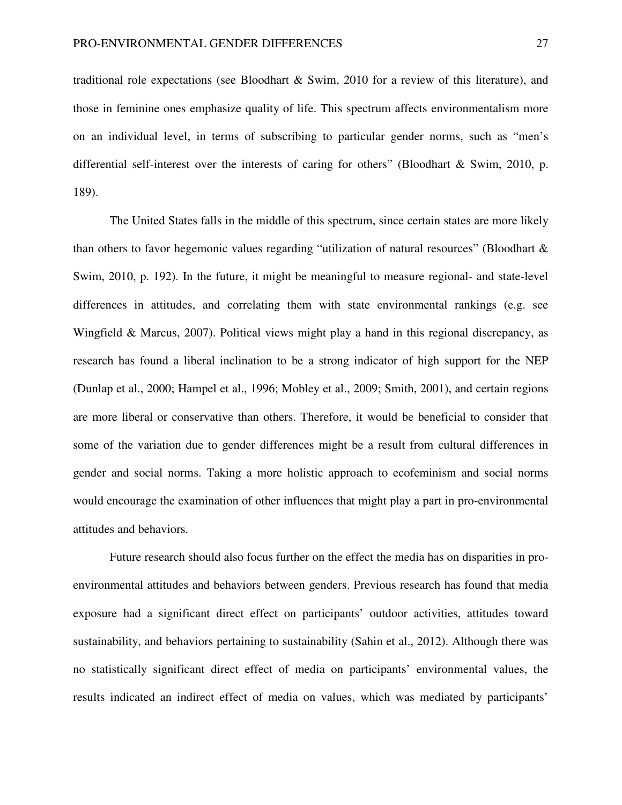traditional role expectations (see Bloodhart  $\&$  Swim, 2010 for a review of this literature), and those in feminine ones emphasize quality of life. This spectrum affects environmentalism more on an individual level, in terms of subscribing to particular gender norms, such as "men's differential self-interest over the interests of caring for others" (Bloodhart & Swim, 2010, p. 189).

The United States falls in the middle of this spectrum, since certain states are more likely than others to favor hegemonic values regarding "utilization of natural resources" (Bloodhart & Swim, 2010, p. 192). In the future, it might be meaningful to measure regional- and state-level differences in attitudes, and correlating them with state environmental rankings (e.g. see Wingfield & Marcus, 2007). Political views might play a hand in this regional discrepancy, as research has found a liberal inclination to be a strong indicator of high support for the NEP (Dunlap et al., 2000; Hampel et al., 1996; Mobley et al., 2009; Smith, 2001), and certain regions are more liberal or conservative than others. Therefore, it would be beneficial to consider that some of the variation due to gender differences might be a result from cultural differences in gender and social norms. Taking a more holistic approach to ecofeminism and social norms would encourage the examination of other influences that might play a part in pro-environmental attitudes and behaviors.

Future research should also focus further on the effect the media has on disparities in proenvironmental attitudes and behaviors between genders. Previous research has found that media exposure had a significant direct effect on participants' outdoor activities, attitudes toward sustainability, and behaviors pertaining to sustainability (Sahin et al., 2012). Although there was no statistically significant direct effect of media on participants' environmental values, the results indicated an indirect effect of media on values, which was mediated by participants'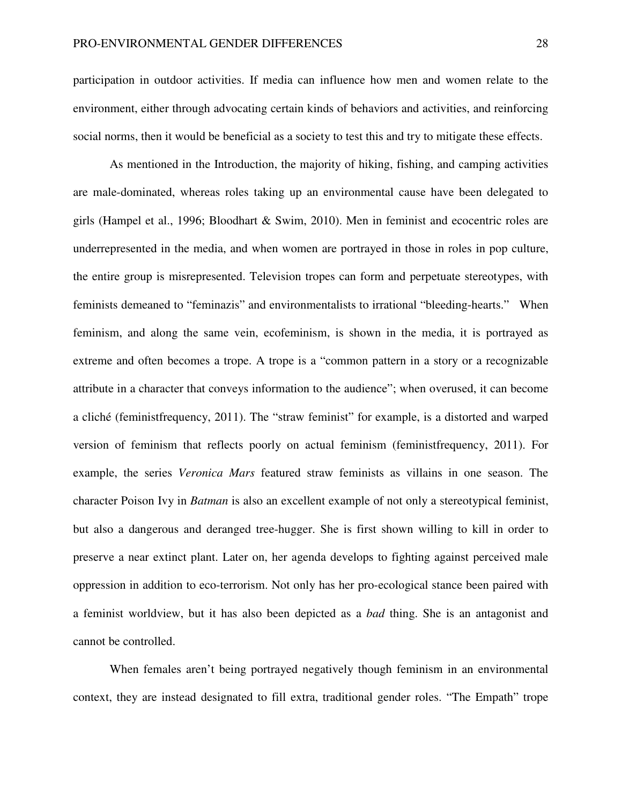participation in outdoor activities. If media can influence how men and women relate to the environment, either through advocating certain kinds of behaviors and activities, and reinforcing social norms, then it would be beneficial as a society to test this and try to mitigate these effects.

 As mentioned in the Introduction, the majority of hiking, fishing, and camping activities are male-dominated, whereas roles taking up an environmental cause have been delegated to girls (Hampel et al., 1996; Bloodhart & Swim, 2010). Men in feminist and ecocentric roles are underrepresented in the media, and when women are portrayed in those in roles in pop culture, the entire group is misrepresented. Television tropes can form and perpetuate stereotypes, with feminists demeaned to "feminazis" and environmentalists to irrational "bleeding-hearts." When feminism, and along the same vein, ecofeminism, is shown in the media, it is portrayed as extreme and often becomes a trope. A trope is a "common pattern in a story or a recognizable attribute in a character that conveys information to the audience"; when overused, it can become a cliché (feministfrequency, 2011). The "straw feminist" for example, is a distorted and warped version of feminism that reflects poorly on actual feminism (feministfrequency, 2011). For example, the series *Veronica Mars* featured straw feminists as villains in one season. The character Poison Ivy in *Batman* is also an excellent example of not only a stereotypical feminist, but also a dangerous and deranged tree-hugger. She is first shown willing to kill in order to preserve a near extinct plant. Later on, her agenda develops to fighting against perceived male oppression in addition to eco-terrorism. Not only has her pro-ecological stance been paired with a feminist worldview, but it has also been depicted as a *bad* thing. She is an antagonist and cannot be controlled.

When females aren't being portrayed negatively though feminism in an environmental context, they are instead designated to fill extra, traditional gender roles. "The Empath" trope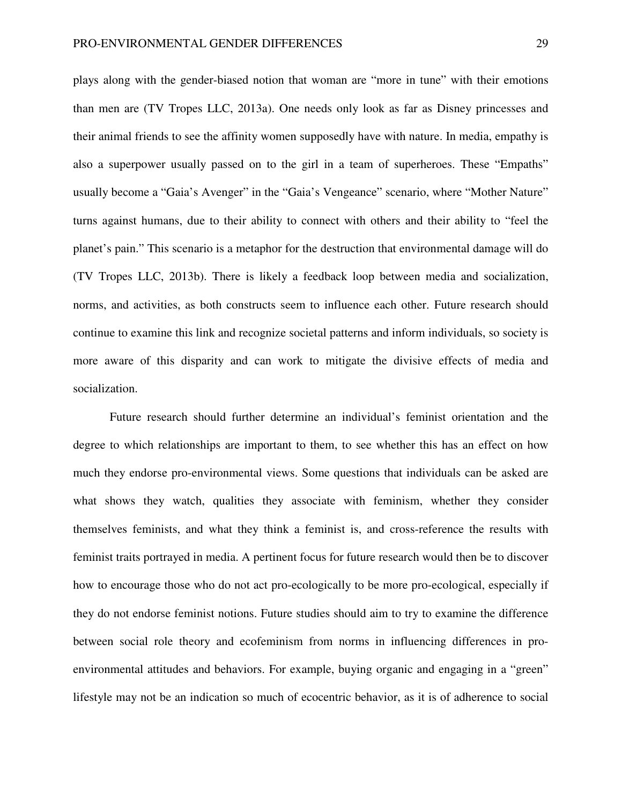plays along with the gender-biased notion that woman are "more in tune" with their emotions than men are (TV Tropes LLC, 2013a). One needs only look as far as Disney princesses and their animal friends to see the affinity women supposedly have with nature. In media, empathy is also a superpower usually passed on to the girl in a team of superheroes. These "Empaths" usually become a "Gaia's Avenger" in the "Gaia's Vengeance" scenario, where "Mother Nature" turns against humans, due to their ability to connect with others and their ability to "feel the planet's pain." This scenario is a metaphor for the destruction that environmental damage will do (TV Tropes LLC, 2013b). There is likely a feedback loop between media and socialization, norms, and activities, as both constructs seem to influence each other. Future research should continue to examine this link and recognize societal patterns and inform individuals, so society is more aware of this disparity and can work to mitigate the divisive effects of media and socialization.

Future research should further determine an individual's feminist orientation and the degree to which relationships are important to them, to see whether this has an effect on how much they endorse pro-environmental views. Some questions that individuals can be asked are what shows they watch, qualities they associate with feminism, whether they consider themselves feminists, and what they think a feminist is, and cross-reference the results with feminist traits portrayed in media. A pertinent focus for future research would then be to discover how to encourage those who do not act pro-ecologically to be more pro-ecological, especially if they do not endorse feminist notions. Future studies should aim to try to examine the difference between social role theory and ecofeminism from norms in influencing differences in proenvironmental attitudes and behaviors. For example, buying organic and engaging in a "green" lifestyle may not be an indication so much of ecocentric behavior, as it is of adherence to social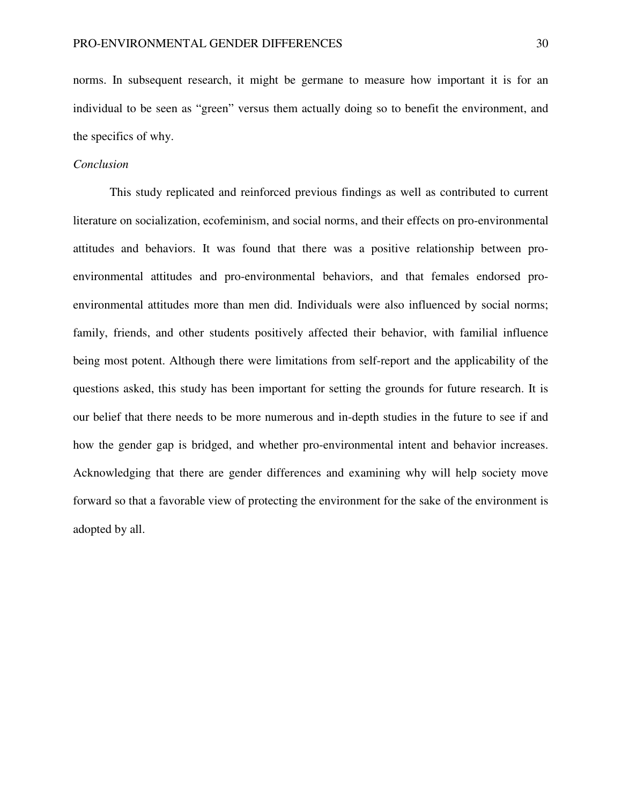norms. In subsequent research, it might be germane to measure how important it is for an individual to be seen as "green" versus them actually doing so to benefit the environment, and the specifics of why.

### *Conclusion*

This study replicated and reinforced previous findings as well as contributed to current literature on socialization, ecofeminism, and social norms, and their effects on pro-environmental attitudes and behaviors. It was found that there was a positive relationship between proenvironmental attitudes and pro-environmental behaviors, and that females endorsed proenvironmental attitudes more than men did. Individuals were also influenced by social norms; family, friends, and other students positively affected their behavior, with familial influence being most potent. Although there were limitations from self-report and the applicability of the questions asked, this study has been important for setting the grounds for future research. It is our belief that there needs to be more numerous and in-depth studies in the future to see if and how the gender gap is bridged, and whether pro-environmental intent and behavior increases. Acknowledging that there are gender differences and examining why will help society move forward so that a favorable view of protecting the environment for the sake of the environment is adopted by all.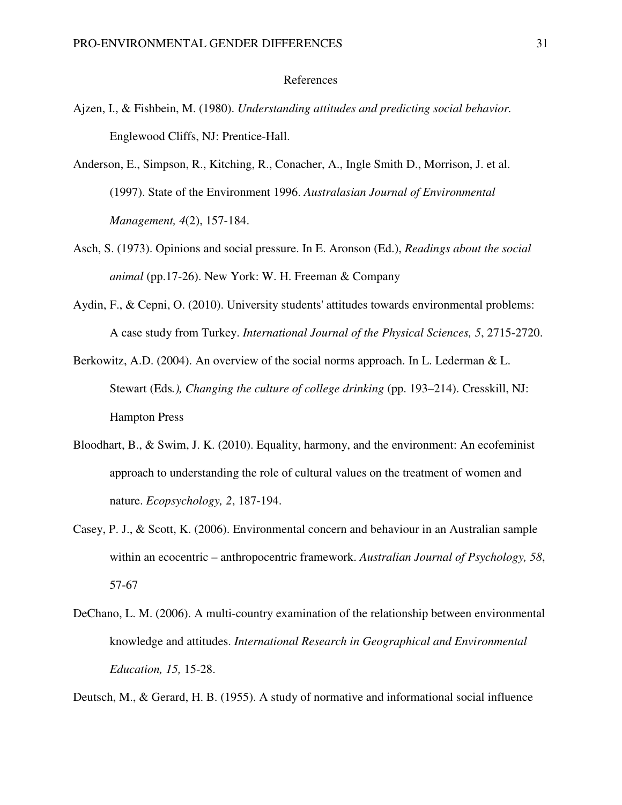#### References

- Ajzen, I., & Fishbein, M. (1980). *Understanding attitudes and predicting social behavior.*  Englewood Cliffs, NJ: Prentice-Hall.
- Anderson, E., Simpson, R., Kitching, R., Conacher, A., Ingle Smith D., Morrison, J. et al. (1997). State of the Environment 1996. *Australasian Journal of Environmental Management, 4*(2), 157-184.
- Asch, S. (1973). Opinions and social pressure. In E. Aronson (Ed.), *Readings about the social animal* (pp.17-26). New York: W. H. Freeman & Company
- Aydin, F., & Cepni, O. (2010). University students' attitudes towards environmental problems: A case study from Turkey. *International Journal of the Physical Sciences, 5*, 2715-2720.
- Berkowitz, A.D. (2004). An overview of the social norms approach. In L. Lederman & L. Stewart (Eds.), *Changing the culture of college drinking* (pp. 193–214). Cresskill, NJ: Hampton Press
- Bloodhart, B., & Swim, J. K. (2010). Equality, harmony, and the environment: An ecofeminist approach to understanding the role of cultural values on the treatment of women and nature. *Ecopsychology, 2*, 187-194.
- Casey, P. J., & Scott, K. (2006). Environmental concern and behaviour in an Australian sample within an ecocentric – anthropocentric framework. *Australian Journal of Psychology, 58*, 57-67
- DeChano, L. M. (2006). A multi-country examination of the relationship between environmental knowledge and attitudes. *International Research in Geographical and Environmental Education, 15,* 15-28.

Deutsch, M., & Gerard, H. B. (1955). A study of normative and informational social influence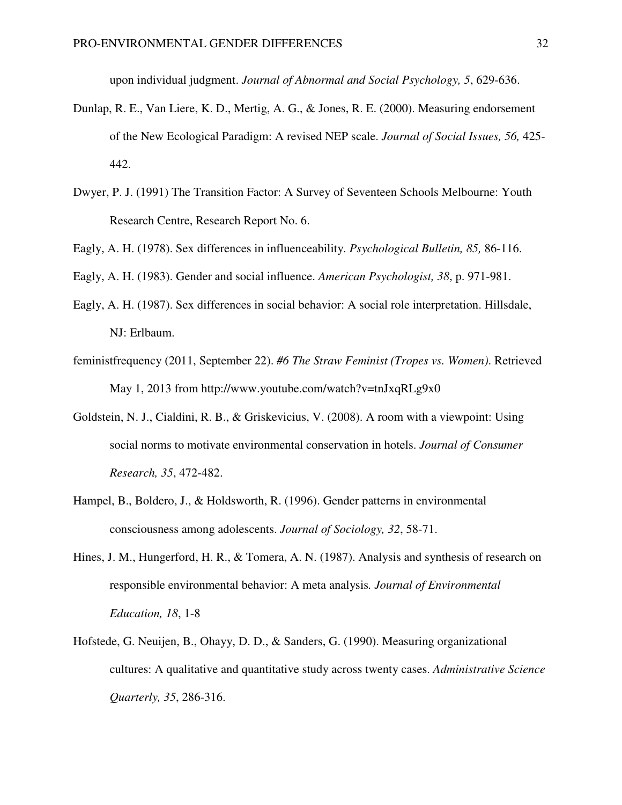upon individual judgment. *Journal of Abnormal and Social Psychology, 5*, 629-636.

- Dunlap, R. E., Van Liere, K. D., Mertig, A. G., & Jones, R. E. (2000). Measuring endorsement of the New Ecological Paradigm: A revised NEP scale. *Journal of Social Issues, 56,* 425- 442.
- Dwyer, P. J. (1991) The Transition Factor: A Survey of Seventeen Schools Melbourne: Youth Research Centre, Research Report No. 6.
- Eagly, A. H. (1978). Sex differences in influenceability. *Psychological Bulletin, 85,* 86-116.
- Eagly, A. H. (1983). Gender and social influence. *American Psychologist, 38*, p. 971-981.
- Eagly, A. H. (1987). Sex differences in social behavior: A social role interpretation. Hillsdale, NJ: Erlbaum.
- feministfrequency (2011, September 22). *#6 The Straw Feminist (Tropes vs. Women)*. Retrieved May 1, 2013 from http://www.youtube.com/watch?v=tnJxqRLg9x0
- Goldstein, N. J., Cialdini, R. B., & Griskevicius, V. (2008). A room with a viewpoint: Using social norms to motivate environmental conservation in hotels. *Journal of Consumer Research, 35*, 472-482.
- Hampel, B., Boldero, J., & Holdsworth, R. (1996). Gender patterns in environmental consciousness among adolescents. *Journal of Sociology, 32*, 58-71.
- Hines, J. M., Hungerford, H. R., & Tomera, A. N. (1987). Analysis and synthesis of research on responsible environmental behavior: A meta analysis*. Journal of Environmental Education, 18*, 1-8
- Hofstede, G. Neuijen, B., Ohayy, D. D., & Sanders, G. (1990). Measuring organizational cultures: A qualitative and quantitative study across twenty cases. *Administrative Science Quarterly, 35*, 286-316.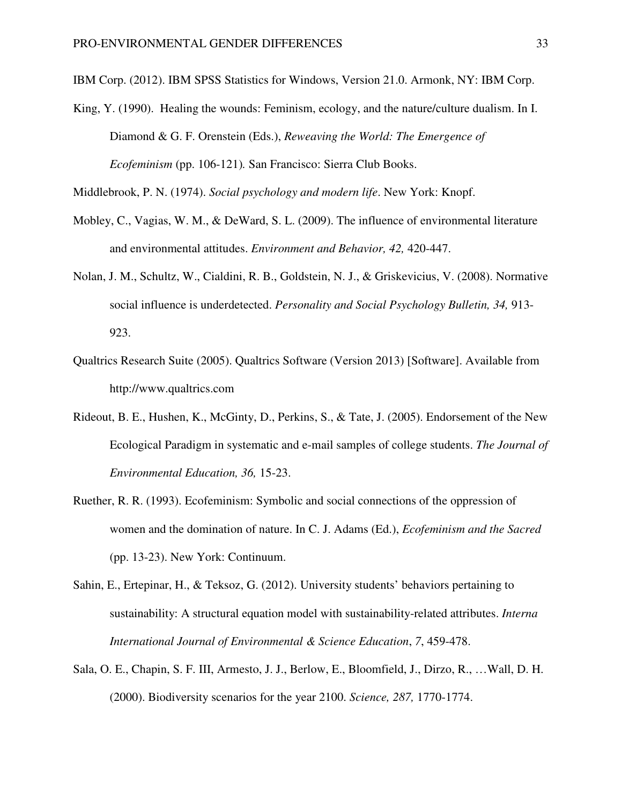IBM Corp. (2012). IBM SPSS Statistics for Windows, Version 21.0. Armonk, NY: IBM Corp.

King, Y. (1990). Healing the wounds: Feminism, ecology, and the nature/culture dualism. In I. Diamond & G. F. Orenstein (Eds.), *Reweaving the World: The Emergence of Ecofeminism* (pp. 106-121)*.* San Francisco: Sierra Club Books.

Middlebrook, P. N. (1974). *Social psychology and modern life*. New York: Knopf.

- Mobley, C., Vagias, W. M., & DeWard, S. L. (2009). The influence of environmental literature and environmental attitudes. *Environment and Behavior, 42,* 420-447.
- Nolan, J. M., Schultz, W., Cialdini, R. B., Goldstein, N. J., & Griskevicius, V. (2008). Normative social influence is underdetected. *Personality and Social Psychology Bulletin, 34,* 913- 923.
- Qualtrics Research Suite (2005). Qualtrics Software (Version 2013) [Software]. Available from http://www.qualtrics.com
- Rideout, B. E., Hushen, K., McGinty, D., Perkins, S., & Tate, J. (2005). Endorsement of the New Ecological Paradigm in systematic and e-mail samples of college students. *The Journal of Environmental Education, 36,* 15-23.
- Ruether, R. R. (1993). Ecofeminism: Symbolic and social connections of the oppression of women and the domination of nature. In C. J. Adams (Ed.), *Ecofeminism and the Sacred*  (pp. 13-23). New York: Continuum.
- Sahin, E., Ertepinar, H., & Teksoz, G. (2012). University students' behaviors pertaining to sustainability: A structural equation model with sustainability-related attributes. *Interna International Journal of Environmental & Science Education*, *7*, 459-478.
- Sala, O. E., Chapin, S. F. III, Armesto, J. J., Berlow, E., Bloomfield, J., Dirzo, R., …Wall, D. H. (2000). Biodiversity scenarios for the year 2100. *Science, 287,* 1770-1774.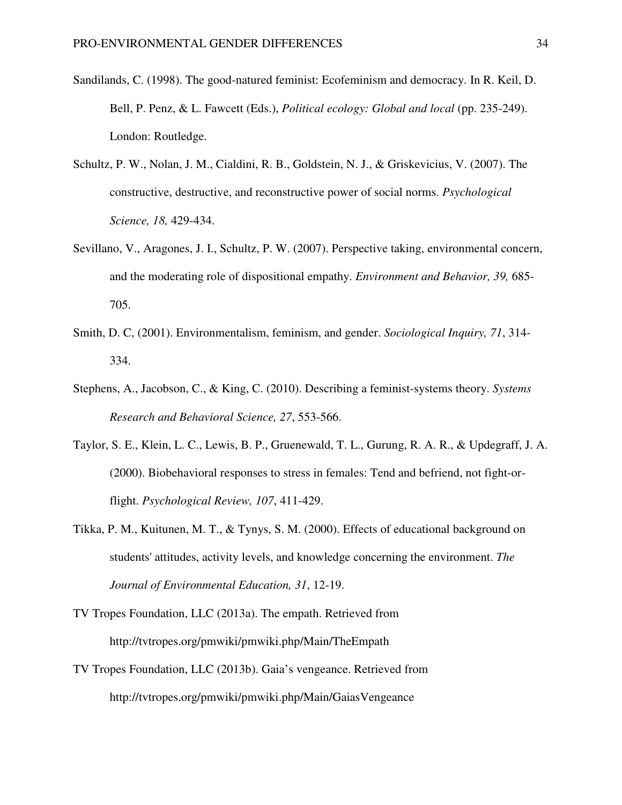- Sandilands, C. (1998). The good-natured feminist: Ecofeminism and democracy. In R. Keil, D. Bell, P. Penz, & L. Fawcett (Eds.), *Political ecology: Global and local* (pp. 235-249). London: Routledge.
- Schultz, P. W., Nolan, J. M., Cialdini, R. B., Goldstein, N. J., & Griskevicius, V. (2007). The constructive, destructive, and reconstructive power of social norms. *Psychological Science, 18,* 429-434.
- Sevillano, V., Aragones, J. I., Schultz, P. W. (2007). Perspective taking, environmental concern, and the moderating role of dispositional empathy. *Environment and Behavior, 39,* 685- 705.
- Smith, D. C, (2001). Environmentalism, feminism, and gender. *Sociological Inquiry, 71*, 314- 334.
- Stephens, A., Jacobson, C., & King, C. (2010). Describing a feminist-systems theory. *Systems Research and Behavioral Science, 27*, 553-566.
- Taylor, S. E., Klein, L. C., Lewis, B. P., Gruenewald, T. L., Gurung, R. A. R., & Updegraff, J. A. (2000). Biobehavioral responses to stress in females: Tend and befriend, not fight-orflight. *Psychological Review, 107*, 411-429.
- Tikka, P. M., Kuitunen, M. T., & Tynys, S. M. (2000). Effects of educational background on students' attitudes, activity levels, and knowledge concerning the environment. *The Journal of Environmental Education, 31*, 12-19.
- TV Tropes Foundation, LLC (2013a). The empath. Retrieved from http://tvtropes.org/pmwiki/pmwiki.php/Main/TheEmpath
- TV Tropes Foundation, LLC (2013b). Gaia's vengeance. Retrieved from http://tvtropes.org/pmwiki/pmwiki.php/Main/GaiasVengeance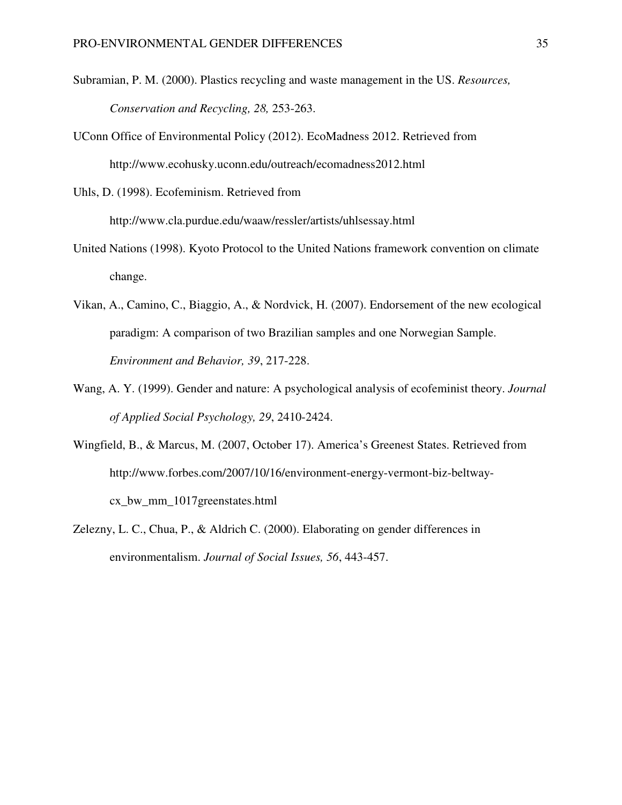- Subramian, P. M. (2000). Plastics recycling and waste management in the US. *Resources, Conservation and Recycling, 28,* 253-263.
- UConn Office of Environmental Policy (2012). EcoMadness 2012. Retrieved from http://www.ecohusky.uconn.edu/outreach/ecomadness2012.html

Uhls, D. (1998). Ecofeminism. Retrieved from http://www.cla.purdue.edu/waaw/ressler/artists/uhlsessay.html

- United Nations (1998). Kyoto Protocol to the United Nations framework convention on climate change.
- Vikan, A., Camino, C., Biaggio, A., & Nordvick, H. (2007). Endorsement of the new ecological paradigm: A comparison of two Brazilian samples and one Norwegian Sample. *Environment and Behavior, 39*, 217-228.
- Wang, A. Y. (1999). Gender and nature: A psychological analysis of ecofeminist theory. *Journal of Applied Social Psychology, 29*, 2410-2424.
- Wingfield, B., & Marcus, M. (2007, October 17). America's Greenest States. Retrieved from http://www.forbes.com/2007/10/16/environment-energy-vermont-biz-beltwaycx\_bw\_mm\_1017greenstates.html
- Zelezny, L. C., Chua, P., & Aldrich C. (2000). Elaborating on gender differences in environmentalism. *Journal of Social Issues, 56*, 443-457.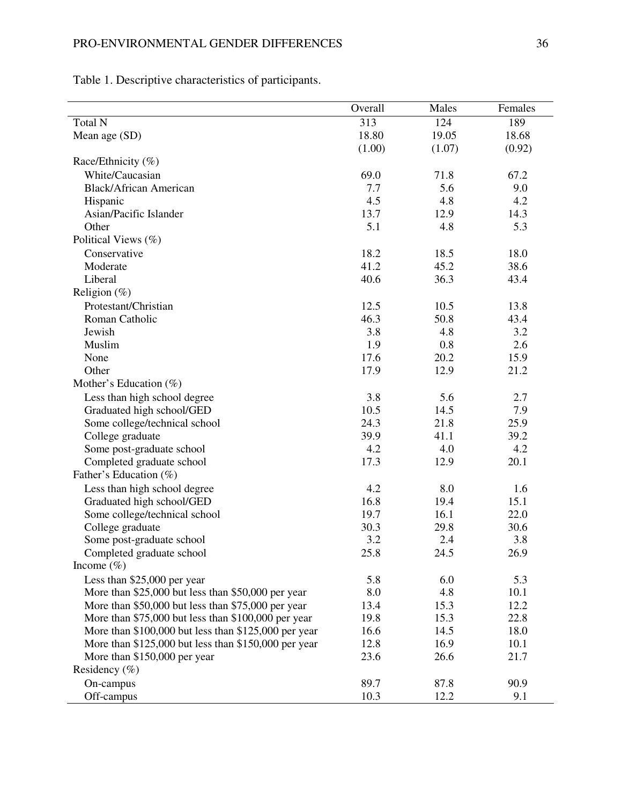# PRO-ENVIRONMENTAL GENDER DIFFERENCES 36

Table 1. Descriptive characteristics of participants.

|                                                       | Overall | Males  | Females |
|-------------------------------------------------------|---------|--------|---------|
| Total N                                               | 313     | 124    | 189     |
| Mean age (SD)                                         | 18.80   | 19.05  | 18.68   |
|                                                       | (1.00)  | (1.07) | (0.92)  |
| Race/Ethnicity (%)                                    |         |        |         |
| White/Caucasian                                       | 69.0    | 71.8   | 67.2    |
| <b>Black/African American</b>                         | 7.7     | 5.6    | 9.0     |
| Hispanic                                              | 4.5     | 4.8    | 4.2     |
| Asian/Pacific Islander                                | 13.7    | 12.9   | 14.3    |
| Other                                                 | 5.1     | 4.8    | 5.3     |
| Political Views (%)                                   |         |        |         |
| Conservative                                          | 18.2    | 18.5   | 18.0    |
| Moderate                                              | 41.2    | 45.2   | 38.6    |
| Liberal                                               | 40.6    | 36.3   | 43.4    |
| Religion $(\%)$                                       |         |        |         |
| Protestant/Christian                                  | 12.5    | 10.5   | 13.8    |
| Roman Catholic                                        | 46.3    | 50.8   | 43.4    |
| Jewish                                                | 3.8     | 4.8    | 3.2     |
| Muslim                                                | 1.9     | 0.8    | 2.6     |
| None                                                  | 17.6    | 20.2   | 15.9    |
| Other                                                 | 17.9    | 12.9   | 21.2    |
| Mother's Education $(\%)$                             |         |        |         |
| Less than high school degree                          | 3.8     | 5.6    | 2.7     |
| Graduated high school/GED                             | 10.5    | 14.5   | 7.9     |
| Some college/technical school                         | 24.3    | 21.8   | 25.9    |
| College graduate                                      | 39.9    | 41.1   | 39.2    |
| Some post-graduate school                             | 4.2     | 4.0    | 4.2     |
| Completed graduate school                             | 17.3    | 12.9   | 20.1    |
| Father's Education (%)                                |         |        |         |
| Less than high school degree                          | 4.2     | 8.0    | 1.6     |
| Graduated high school/GED                             | 16.8    | 19.4   | 15.1    |
| Some college/technical school                         | 19.7    | 16.1   | 22.0    |
| College graduate                                      | 30.3    | 29.8   | 30.6    |
| Some post-graduate school                             | 3.2     | 2.4    | 3.8     |
| Completed graduate school                             | 25.8    | 24.5   | 26.9    |
| Income $(\%)$                                         |         |        |         |
|                                                       |         | 6.0    |         |
| Less than \$25,000 per year                           | 5.8     | 4.8    | 5.3     |
| More than \$25,000 but less than \$50,000 per year    | 8.0     |        | 10.1    |
| More than \$50,000 but less than \$75,000 per year    | 13.4    | 15.3   | 12.2    |
| More than $$75,000$ but less than $$100,000$ per year | 19.8    | 15.3   | 22.8    |
| More than \$100,000 but less than \$125,000 per year  | 16.6    | 14.5   | 18.0    |
| More than \$125,000 but less than \$150,000 per year  | 12.8    | 16.9   | 10.1    |
| More than \$150,000 per year                          | 23.6    | 26.6   | 21.7    |
| Residency $(\% )$                                     |         |        |         |
| On-campus                                             | 89.7    | 87.8   | 90.9    |
| Off-campus                                            | 10.3    | 12.2   | 9.1     |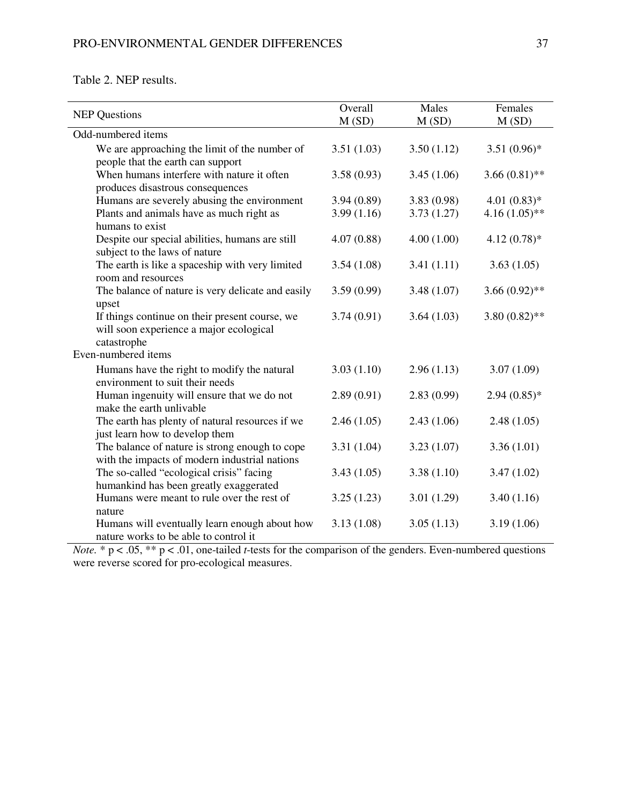| <b>NEP</b> Questions                                                                                     | Overall    | Males      | Females         |
|----------------------------------------------------------------------------------------------------------|------------|------------|-----------------|
|                                                                                                          | M(SD)      | M(SD)      | M(SD)           |
| Odd-numbered items                                                                                       |            |            |                 |
| We are approaching the limit of the number of<br>people that the earth can support                       | 3.51(1.03) | 3.50(1.12) | $3.51(0.96)$ *  |
| When humans interfere with nature it often<br>produces disastrous consequences                           | 3.58(0.93) | 3.45(1.06) | $3.66(0.81)$ ** |
| Humans are severely abusing the environment                                                              | 3.94(0.89) | 3.83(0.98) | $4.01(0.83)*$   |
| Plants and animals have as much right as<br>humans to exist                                              | 3.99(1.16) | 3.73(1.27) | $4.16(1.05)$ ** |
| Despite our special abilities, humans are still<br>subject to the laws of nature                         | 4.07(0.88) | 4.00(1.00) | $4.12(0.78)$ *  |
| The earth is like a spaceship with very limited<br>room and resources                                    | 3.54(1.08) | 3.41(1.11) | 3.63(1.05)      |
| The balance of nature is very delicate and easily<br>upset                                               | 3.59(0.99) | 3.48(1.07) | $3.66(0.92)$ ** |
| If things continue on their present course, we<br>will soon experience a major ecological<br>catastrophe | 3.74(0.91) | 3.64(1.03) | $3.80(0.82)$ ** |
| Even-numbered items                                                                                      |            |            |                 |
| Humans have the right to modify the natural<br>environment to suit their needs                           | 3.03(1.10) | 2.96(1.13) | 3.07(1.09)      |
| Human ingenuity will ensure that we do not<br>make the earth unlivable                                   | 2.89(0.91) | 2.83(0.99) | $2.94(0.85)*$   |
| The earth has plenty of natural resources if we<br>just learn how to develop them                        | 2.46(1.05) | 2.43(1.06) | 2.48(1.05)      |
| The balance of nature is strong enough to cope<br>with the impacts of modern industrial nations          | 3.31(1.04) | 3.23(1.07) | 3.36(1.01)      |
| The so-called "ecological crisis" facing<br>humankind has been greatly exaggerated                       | 3.43(1.05) | 3.38(1.10) | 3.47(1.02)      |
| Humans were meant to rule over the rest of<br>nature                                                     | 3.25(1.23) | 3.01(1.29) | 3.40(1.16)      |
| Humans will eventually learn enough about how<br>nature works to be able to control it                   | 3.13(1.08) | 3.05(1.13) | 3.19(1.06)      |

*Note.* \* p < .05, \*\* p < .01, one-tailed *t*-tests for the comparison of the genders. Even-numbered questions were reverse scored for pro-ecological measures.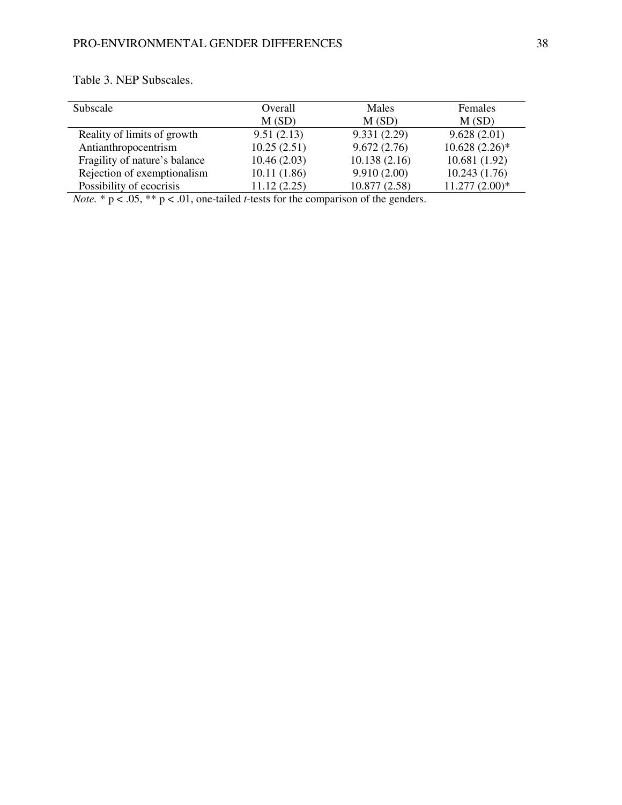| Subscale                      | Overall     | Males        | <b>Females</b>   |
|-------------------------------|-------------|--------------|------------------|
|                               | M(SD)       | M(SD)        | M(SD)            |
| Reality of limits of growth   | 9.51(2.13)  | 9.331(2.29)  | 9.628(2.01)      |
| Antianthropocentrism          | 10.25(2.51) | 9.672(2.76)  | $10.628(2.26)$ * |
| Fragility of nature's balance | 10.46(2.03) | 10.138(2.16) | 10.681(1.92)     |
| Rejection of exemptionalism   | 10.11(1.86) | 9.910(2.00)  | 10.243(1.76)     |
| Possibility of ecocrisis      | 11.12(2.25) | 10.877(2.58) | $11.277(2.00)*$  |

# Table 3. NEP Subscales.

*Note.* \* p < .05, \*\* p < .01, one-tailed *t*-tests for the comparison of the genders.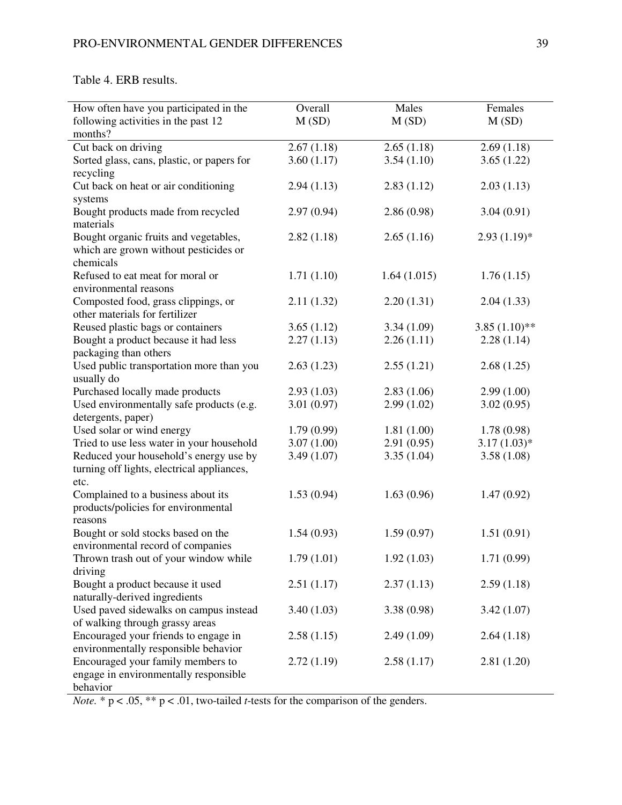Table 4. ERB results.

| How often have you participated in the                                              | Overall                  | Males                    | Females                     |
|-------------------------------------------------------------------------------------|--------------------------|--------------------------|-----------------------------|
| following activities in the past 12                                                 | M(SD)                    | M(SD)                    | M(SD)                       |
| months?                                                                             |                          |                          |                             |
| Cut back on driving                                                                 | 2.67(1.18)               | 2.65(1.18)               | 2.69(1.18)                  |
| Sorted glass, cans, plastic, or papers for<br>recycling                             | 3.60(1.17)               | 3.54(1.10)               | 3.65(1.22)                  |
| Cut back on heat or air conditioning                                                | 2.94(1.13)               | 2.83(1.12)               | 2.03(1.13)                  |
| systems                                                                             |                          |                          |                             |
| Bought products made from recycled                                                  | 2.97(0.94)               | 2.86(0.98)               | 3.04(0.91)                  |
| materials                                                                           |                          |                          |                             |
| Bought organic fruits and vegetables,                                               | 2.82(1.18)               | 2.65(1.16)               | $2.93(1.19)$ *              |
| which are grown without pesticides or                                               |                          |                          |                             |
| chemicals                                                                           |                          |                          |                             |
| Refused to eat meat for moral or                                                    | 1.71(1.10)               | 1.64(1.015)              | 1.76(1.15)                  |
| environmental reasons                                                               |                          |                          |                             |
| Composted food, grass clippings, or                                                 | 2.11(1.32)               | 2.20(1.31)               | 2.04(1.33)                  |
| other materials for fertilizer                                                      |                          |                          |                             |
| Reused plastic bags or containers                                                   | 3.65(1.12)               | 3.34(1.09)               | $3.85(1.10)$ **             |
| Bought a product because it had less                                                | 2.27(1.13)               | 2.26(1.11)               | 2.28(1.14)                  |
| packaging than others                                                               |                          |                          |                             |
| Used public transportation more than you                                            | 2.63(1.23)               | 2.55(1.21)               | 2.68(1.25)                  |
| usually do                                                                          |                          |                          |                             |
| Purchased locally made products                                                     | 2.93(1.03)               | 2.83(1.06)               | 2.99(1.00)                  |
| Used environmentally safe products (e.g.                                            | 3.01(0.97)               | 2.99(1.02)               | 3.02(0.95)                  |
| detergents, paper)                                                                  |                          |                          |                             |
| Used solar or wind energy                                                           | 1.79(0.99)               | 1.81(1.00)               | 1.78(0.98)                  |
| Tried to use less water in your household<br>Reduced your household's energy use by | 3.07(1.00)<br>3.49(1.07) | 2.91(0.95)<br>3.35(1.04) | $3.17(1.03)*$<br>3.58(1.08) |
| turning off lights, electrical appliances,                                          |                          |                          |                             |
| etc.                                                                                |                          |                          |                             |
| Complained to a business about its                                                  | 1.53(0.94)               | 1.63(0.96)               | 1.47(0.92)                  |
| products/policies for environmental                                                 |                          |                          |                             |
| reasons                                                                             |                          |                          |                             |
| Bought or sold stocks based on the                                                  | 1.54(0.93)               | 1.59(0.97)               | 1.51(0.91)                  |
| environmental record of companies                                                   |                          |                          |                             |
| Thrown trash out of your window while                                               | 1.79(1.01)               | 1.92(1.03)               | 1.71(0.99)                  |
| driving                                                                             |                          |                          |                             |
| Bought a product because it used                                                    | 2.51(1.17)               | 2.37(1.13)               | 2.59(1.18)                  |
| naturally-derived ingredients                                                       |                          |                          |                             |
| Used paved sidewalks on campus instead                                              | 3.40(1.03)               | 3.38(0.98)               | 3.42(1.07)                  |
| of walking through grassy areas                                                     |                          |                          |                             |
| Encouraged your friends to engage in                                                | 2.58(1.15)               | 2.49(1.09)               | 2.64(1.18)                  |
| environmentally responsible behavior                                                |                          |                          |                             |
| Encouraged your family members to                                                   | 2.72(1.19)               | 2.58(1.17)               | 2.81(1.20)                  |
| engage in environmentally responsible                                               |                          |                          |                             |
| behavior                                                                            |                          |                          |                             |

*Note.* \* p < .05, \*\* p < .01, two-tailed *t*-tests for the comparison of the genders.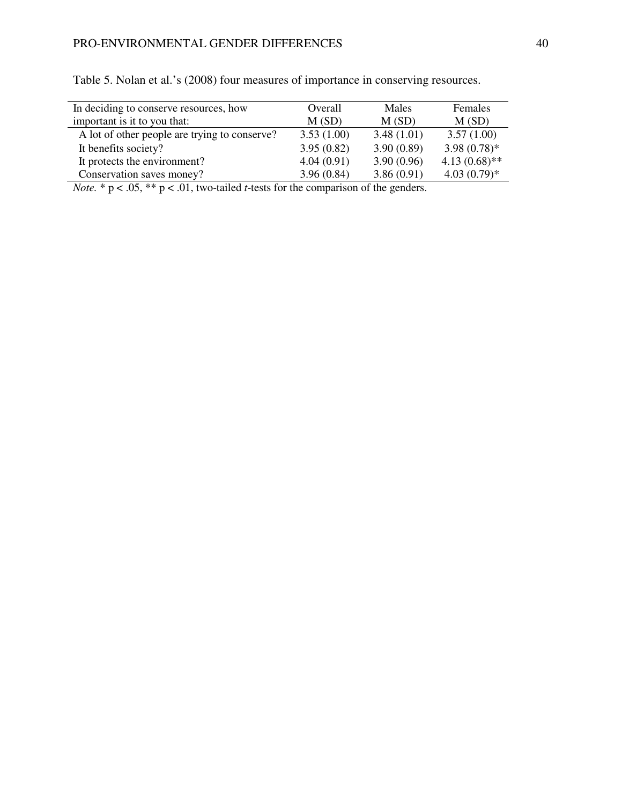| In deciding to conserve resources, how        | Overall    | Males      | Females         |
|-----------------------------------------------|------------|------------|-----------------|
| important is it to you that:                  | M(SD)      | M(SD)      | M(SD)           |
| A lot of other people are trying to conserve? | 3.53(1.00) | 3.48(1.01) | 3.57(1.00)      |
| It benefits society?                          | 3.95(0.82) | 3.90(0.89) | $3.98(0.78)$ *  |
| It protects the environment?                  | 4.04(0.91) | 3.90(0.96) | $4.13(0.68)$ ** |
| Conservation saves money?                     | 3.96(0.84) | 3.86(0.91) | $4.03(0.79)*$   |

Table 5. Nolan et al.'s (2008) four measures of importance in conserving resources.

*Note.* \* p < .05, \*\* p < .01, two-tailed *t*-tests for the comparison of the genders.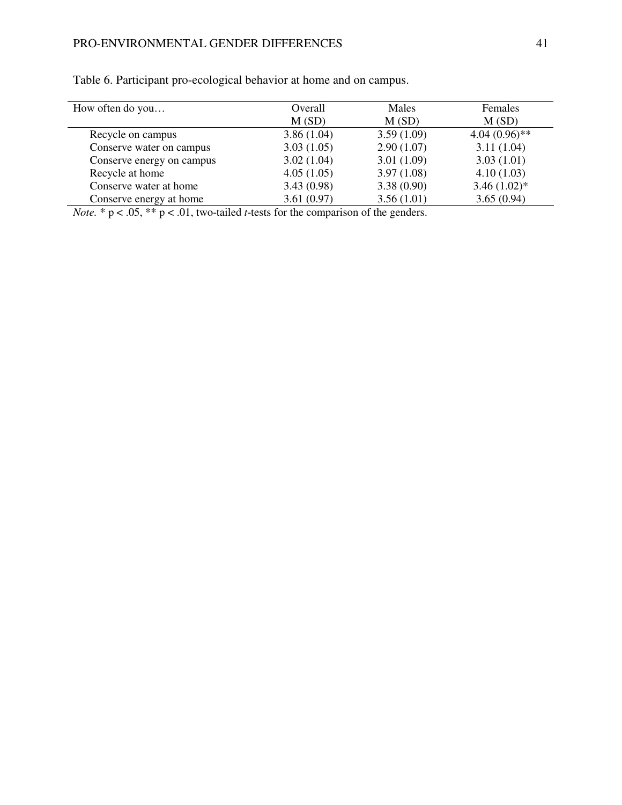| How often do you          | Overall    | <b>Males</b> | Females          |
|---------------------------|------------|--------------|------------------|
|                           | M(SD)      | M(SD)        | M(SD)            |
| Recycle on campus         | 3.86(1.04) | 3.59(1.09)   | $4.04(0.96)$ **  |
| Conserve water on campus  | 3.03(1.05) | 2.90(1.07)   | 3.11(1.04)       |
| Conserve energy on campus | 3.02(1.04) | 3.01(1.09)   | 3.03(1.01)       |
| Recycle at home           | 4.05(1.05) | 3.97(1.08)   | 4.10(1.03)       |
| Conserve water at home    | 3.43(0.98) | 3.38(0.90)   | $3.46(1.02)^{*}$ |
| Conserve energy at home   | 3.61(0.97) | 3.56(1.01)   | 3.65(0.94)       |

Table 6. Participant pro-ecological behavior at home and on campus.

*Note.* \* p < .05, \*\* p < .01, two-tailed *t*-tests for the comparison of the genders.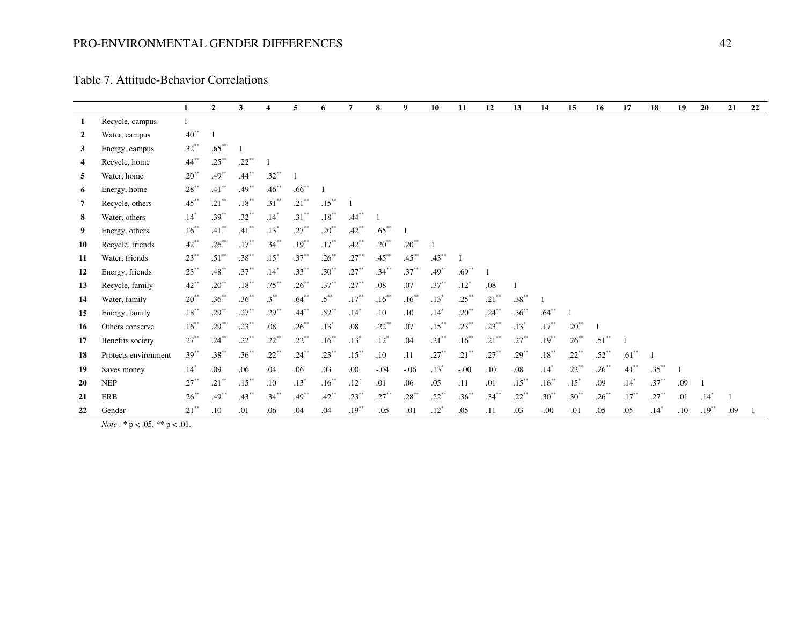# PRO-ENVIRONMENTAL GENDER DIFFERENCES 42

|                  |                      | 1                | $\mathbf{2}$ | 3                | $\boldsymbol{\Delta}$ | 5        | 6         | 7        | 8        | 9        | 10                 | 11       | 12       | 13       | 14               | 15       | 16       | 17       | 18       | 19  | 20       | 21  | 22 |
|------------------|----------------------|------------------|--------------|------------------|-----------------------|----------|-----------|----------|----------|----------|--------------------|----------|----------|----------|------------------|----------|----------|----------|----------|-----|----------|-----|----|
| -1               | Recycle, campus      | 1                |              |                  |                       |          |           |          |          |          |                    |          |          |          |                  |          |          |          |          |     |          |     |    |
| $\overline{2}$   | Water, campus        | $.40***$         |              |                  |                       |          |           |          |          |          |                    |          |          |          |                  |          |          |          |          |     |          |     |    |
| 3                | Energy, campus       | $.32***$         | $.65***$     |                  |                       |          |           |          |          |          |                    |          |          |          |                  |          |          |          |          |     |          |     |    |
| $\boldsymbol{4}$ | Recycle, home        | $.44***$         | $.25***$     | $.22***$         |                       |          |           |          |          |          |                    |          |          |          |                  |          |          |          |          |     |          |     |    |
| 5                | Water, home          | $.20***$         | $.49***$     | $.44***$         | $.32***$              |          |           |          |          |          |                    |          |          |          |                  |          |          |          |          |     |          |     |    |
| 6                | Energy, home         | $.28***$         | $.41***$     | $.49***$         | $.46***$              | $.66***$ |           |          |          |          |                    |          |          |          |                  |          |          |          |          |     |          |     |    |
| 7                | Recycle, others      | $.45***$         | $.21***$     | $.18^{\ast\ast}$ | $.31***$              | $.21***$ | $.15***$  |          |          |          |                    |          |          |          |                  |          |          |          |          |     |          |     |    |
| 8                | Water, others        | $.14*$           | $.39***$     | $.32***$         | $.14*$                | $.31***$ | $.18***$  | $.44***$ |          |          |                    |          |          |          |                  |          |          |          |          |     |          |     |    |
| 9                | Energy, others       | $.16***$         | $41***$      | $.41***$         | $.13*$                | $.27***$ | $.20***$  | $.42***$ | $.65***$ |          |                    |          |          |          |                  |          |          |          |          |     |          |     |    |
| 10               | Recycle, friends     | $.42***$         | $.26***$     | $.17***$         | $.34***$              | $.19***$ | $.17***$  | $.42***$ | $.20***$ | $.20***$ |                    |          |          |          |                  |          |          |          |          |     |          |     |    |
| 11               | Water, friends       | $.23***$         | $.51***$     | $.38***$         | $.15*$                | $.37***$ | $.26***$  | $.27***$ | $.45***$ | $.45***$ | $.43***$           |          |          |          |                  |          |          |          |          |     |          |     |    |
| 12               | Energy, friends      | $.23***$         | $.48***$     | $.37***$         | $.14*$                | $.33***$ | $.30**$   | $.27***$ | $.34***$ | $.37***$ | $.49***$           | $.69***$ |          |          |                  |          |          |          |          |     |          |     |    |
| 13               | Recycle, family      | $.42***$         | $.20***$     | $.18^{\ast\ast}$ | $.75***$              | $.26***$ | $.37***$  | $.27***$ | .08      | .07      | $.37***$           | $.12*$   | .08      |          |                  |          |          |          |          |     |          |     |    |
| 14               | Water, family        | $.20***$         | $.36***$     | $.36***$         | $.3***$               | $.64***$ | $.5^{**}$ | $.17***$ | $.16***$ | $.16***$ | $.13*$             | $.25***$ | $.21***$ | $.38***$ |                  |          |          |          |          |     |          |     |    |
| 15               | Energy, family       | $.18^{\ast\ast}$ | $.29***$     | $.27***$         | $.29***$              | $.44***$ | $.52***$  | $.14*$   | .10      | .10      | $.14*$             | $.20***$ | $.24***$ | $.36***$ | $.64***$         |          |          |          |          |     |          |     |    |
| 16               | Others conserve      | $.16***$         | $.29***$     | $.23***$         | .08                   | $.26***$ | $.13*$    | .08      | $.22***$ | .07      | $.15***$           | $.23***$ | $.23***$ | $.13*$   | $.17***$         | $.20***$ |          |          |          |     |          |     |    |
| 17               | Benefits society     | $.27***$         | $.24***$     | $.22***$         | $.22***$              | $.22***$ | $.16***$  | $.13*$   | $.12*$   | .04      | $.21***$           | $.16***$ | $.21***$ | $.27***$ | $.19***$         | $.26***$ | $.51***$ |          |          |     |          |     |    |
| 18               | Protects environment | $.39***$         | $.38***$     | $.36***$         | $.22***$              | $.24***$ | $.23***$  | $.15***$ | .10      | .11      | $.27***$           | $.21***$ | $.27***$ | $.29***$ | $.18^{\ast\ast}$ | $.22***$ | $.52***$ | $.61***$ |          |     |          |     |    |
| 19               | Saves money          | $.14*$           | .09          | .06              | .04                   | .06      | .03       | .00      | $-.04$   | $-.06$   | $.13*$             | $-.00$   | .10      | .08      | $.14*$           | $.22***$ | $.26***$ | $.41***$ | $.35***$ |     |          |     |    |
| 20               | <b>NEP</b>           | $.27***$         | $.21***$     | $.15***$         | .10                   | $.13*$   | $.16***$  | $.12*$   | .01      | .06      | .05                | .11      | .01      | $.15***$ | $.16***$         | $.15*$   | .09      | $.14*$   | $.37***$ | .09 |          |     |    |
| 21               | <b>ERB</b>           | $.26***$         | $.49***$     | $.43***$         | $.34***$              | $.49***$ | $.42***$  | $.23***$ | $.27***$ | $.28***$ | $.22***$           | $.36***$ | $.34***$ | $.22***$ | $.30**$          | $.30***$ | $.26***$ | $.17***$ | $.27***$ | .01 | $.14*$   |     |    |
| 22               | Gender               | $21^{**}$        | .10          | .01              | .06                   | .04      | .04       | $.19***$ | $-.05$   | $-.01$   | $.12$ <sup>*</sup> | .05      | .11      | .03      | $-.00$           | $-.01$   | .05      | .05      | $.14*$   | .10 | $.19***$ | .09 |    |

Table 7. Attitude-Behavior Correlations

*Note* . \* p < .05, \*\* p < .01.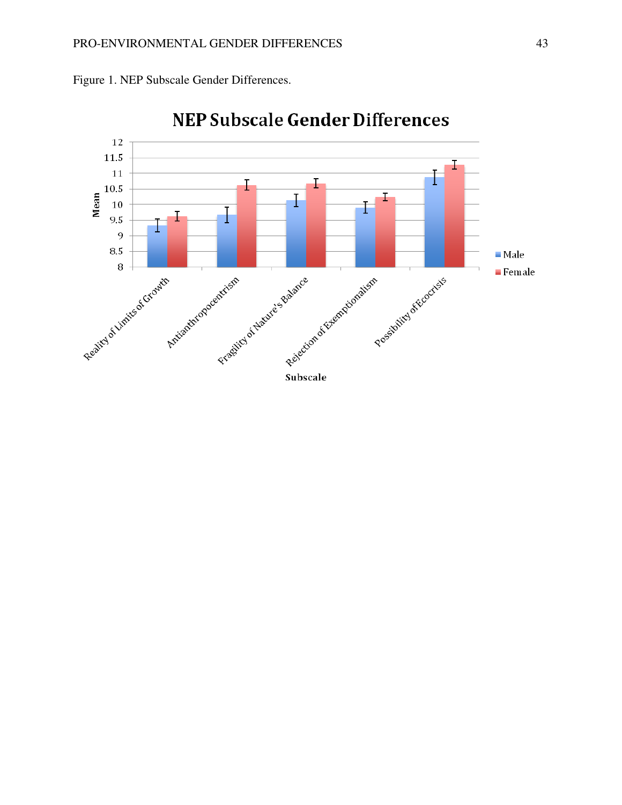

Figure 1. NEP Subscale Gender Differences.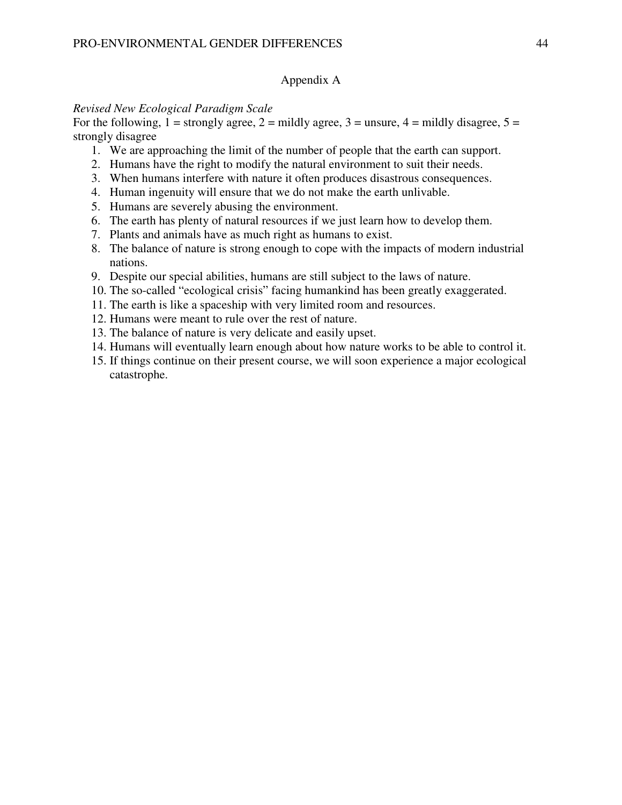# Appendix A

## *Revised New Ecological Paradigm Scale*

For the following,  $1 =$  strongly agree,  $2 =$  mildly agree,  $3 =$  unsure,  $4 =$  mildly disagree,  $5 =$ strongly disagree

- 1. We are approaching the limit of the number of people that the earth can support.
- 2. Humans have the right to modify the natural environment to suit their needs.
- 3. When humans interfere with nature it often produces disastrous consequences.
- 4. Human ingenuity will ensure that we do not make the earth unlivable.
- 5. Humans are severely abusing the environment.
- 6. The earth has plenty of natural resources if we just learn how to develop them.
- 7. Plants and animals have as much right as humans to exist.
- 8. The balance of nature is strong enough to cope with the impacts of modern industrial nations.
- 9. Despite our special abilities, humans are still subject to the laws of nature.
- 10. The so-called "ecological crisis" facing humankind has been greatly exaggerated.
- 11. The earth is like a spaceship with very limited room and resources.
- 12. Humans were meant to rule over the rest of nature.
- 13. The balance of nature is very delicate and easily upset.
- 14. Humans will eventually learn enough about how nature works to be able to control it.
- 15. If things continue on their present course, we will soon experience a major ecological catastrophe.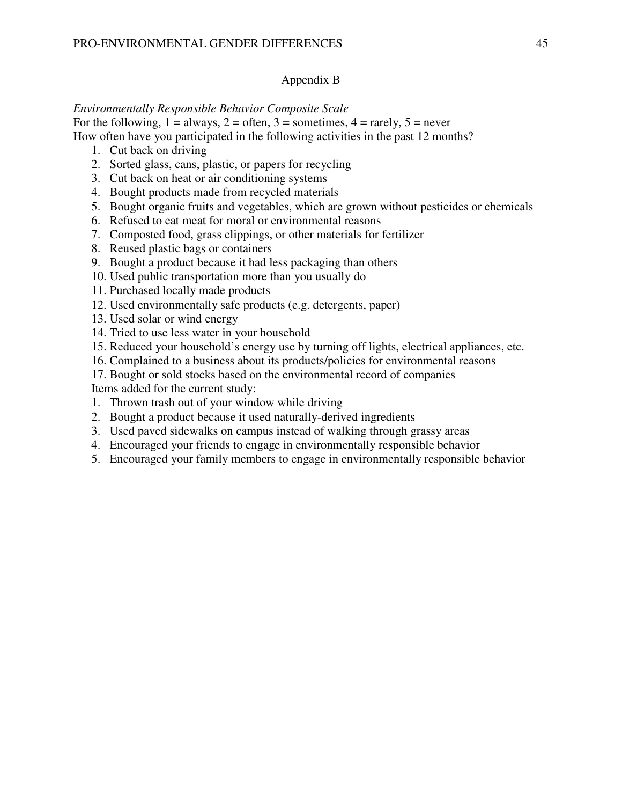# Appendix B

#### *Environmentally Responsible Behavior Composite Scale*

For the following,  $1 =$  always,  $2 =$  often,  $3 =$  sometimes,  $4 =$  rarely,  $5 =$  never

How often have you participated in the following activities in the past 12 months?

- 1. Cut back on driving
- 2. Sorted glass, cans, plastic, or papers for recycling
- 3. Cut back on heat or air conditioning systems
- 4. Bought products made from recycled materials
- 5. Bought organic fruits and vegetables, which are grown without pesticides or chemicals
- 6. Refused to eat meat for moral or environmental reasons
- 7. Composted food, grass clippings, or other materials for fertilizer
- 8. Reused plastic bags or containers
- 9. Bought a product because it had less packaging than others
- 10. Used public transportation more than you usually do
- 11. Purchased locally made products
- 12. Used environmentally safe products (e.g. detergents, paper)
- 13. Used solar or wind energy
- 14. Tried to use less water in your household
- 15. Reduced your household's energy use by turning off lights, electrical appliances, etc.
- 16. Complained to a business about its products/policies for environmental reasons
- 17. Bought or sold stocks based on the environmental record of companies

Items added for the current study:

- 1. Thrown trash out of your window while driving
- 2. Bought a product because it used naturally-derived ingredients
- 3. Used paved sidewalks on campus instead of walking through grassy areas
- 4. Encouraged your friends to engage in environmentally responsible behavior
- 5. Encouraged your family members to engage in environmentally responsible behavior